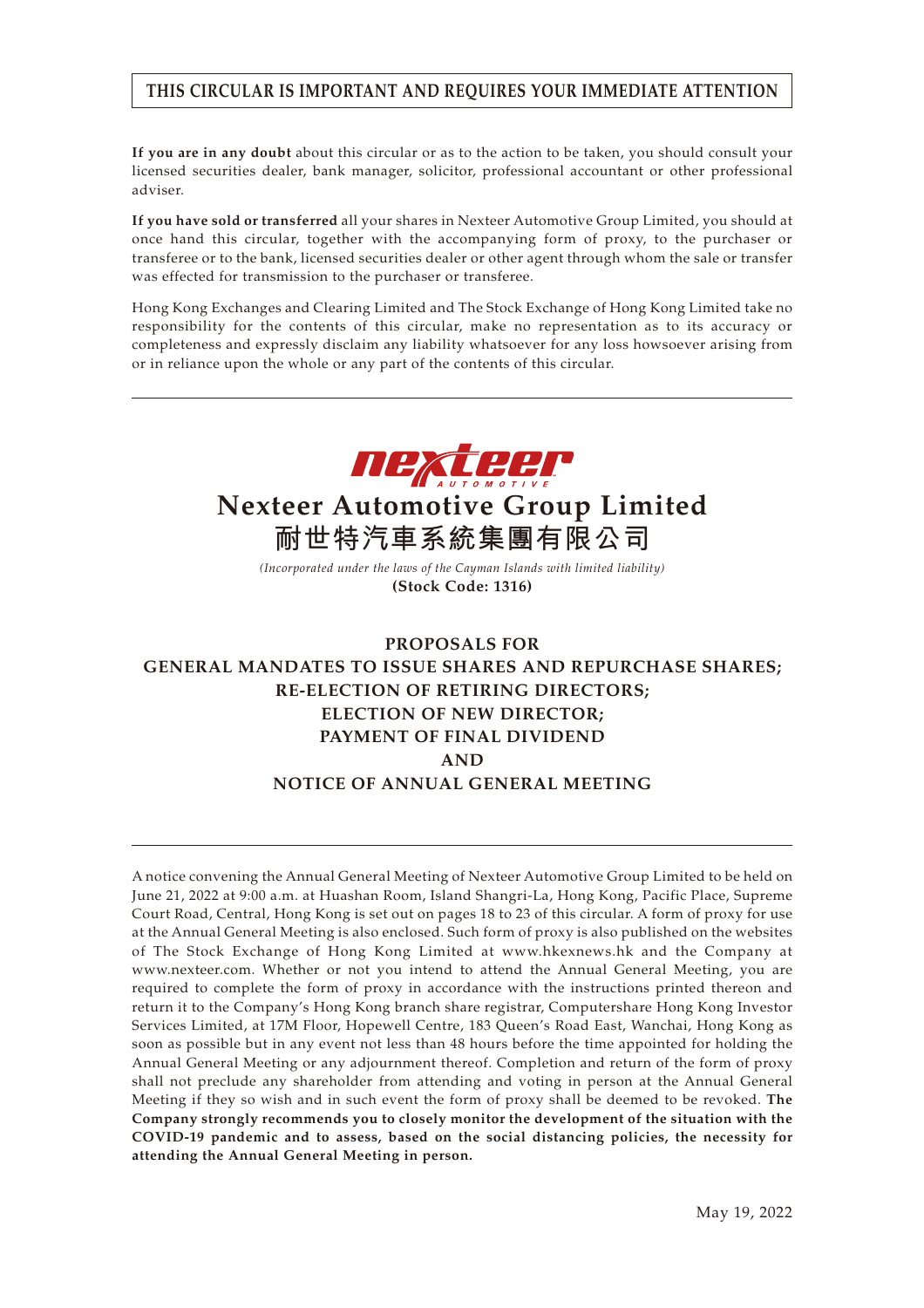## **THIS CIRCULAR IS IMPORTANT AND REQUIRES YOUR IMMEDIATE ATTENTION**

**If you are in any doubt** about this circular or as to the action to be taken, you should consult your licensed securities dealer, bank manager, solicitor, professional accountant or other professional adviser.

**If you have sold or transferred** all your shares in Nexteer Automotive Group Limited, you should at once hand this circular, together with the accompanying form of proxy, to the purchaser or transferee or to the bank, licensed securities dealer or other agent through whom the sale or transfer was effected for transmission to the purchaser or transferee.

Hong Kong Exchanges and Clearing Limited and The Stock Exchange of Hong Kong Limited take no responsibility for the contents of this circular, make no representation as to its accuracy or completeness and expressly disclaim any liability whatsoever for any loss howsoever arising from or in reliance upon the whole or any part of the contents of this circular.



# **Nexteer Automotive Group Limited 耐世特汽車系統集團有限公司**

*(Incorporated under the laws of the Cayman Islands with limited liability)* **(Stock Code: 1316)**

## **PROPOSALS FOR GENERAL MANDATES TO ISSUE SHARES AND REPURCHASE SHARES; RE-ELECTION OF RETIRING DIRECTORS; ELECTION OF NEW DIRECTOR; PAYMENT OF FINAL DIVIDEND AND NOTICE OF ANNUAL GENERAL MEETING**

A notice convening the Annual General Meeting of Nexteer Automotive Group Limited to be held on June 21, 2022 at 9:00 a.m. at Huashan Room, Island Shangri-La, Hong Kong, Pacific Place, Supreme Court Road, Central, Hong Kong is set out on pages 18 to 23 of this circular. A form of proxy for use at the Annual General Meeting is also enclosed. Such form of proxy is also published on the websites of The Stock Exchange of Hong Kong Limited at www.hkexnews.hk and the Company at www.nexteer.com. Whether or not you intend to attend the Annual General Meeting, you are required to complete the form of proxy in accordance with the instructions printed thereon and return it to the Company's Hong Kong branch share registrar, Computershare Hong Kong Investor Services Limited, at 17M Floor, Hopewell Centre, 183 Queen's Road East, Wanchai, Hong Kong as soon as possible but in any event not less than 48 hours before the time appointed for holding the Annual General Meeting or any adjournment thereof. Completion and return of the form of proxy shall not preclude any shareholder from attending and voting in person at the Annual General Meeting if they so wish and in such event the form of proxy shall be deemed to be revoked. **The Company strongly recommends you to closely monitor the development of the situation with the COVID-19 pandemic and to assess, based on the social distancing policies, the necessity for attending the Annual General Meeting in person.**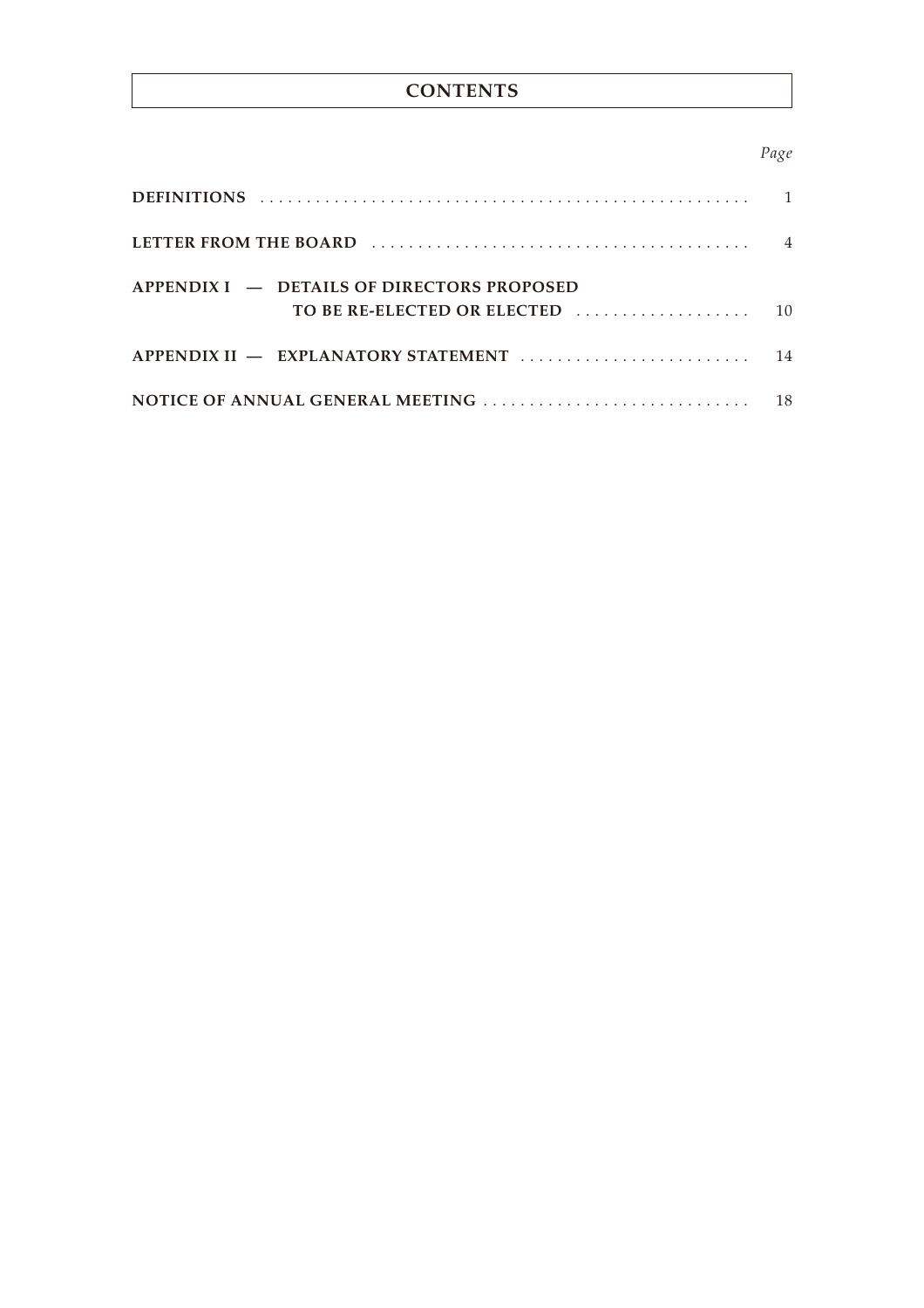## **CONTENTS**

## *Page*

| LETTER FROM THE BOARD (and the contract of the state of the state of the state of the state of the state of the state of the state of the state of the state of the state of the state of the state of the state of the state |  |
|-------------------------------------------------------------------------------------------------------------------------------------------------------------------------------------------------------------------------------|--|
| $APPENDIXI = DETAILS OF DIRECTORS PROPOSED$                                                                                                                                                                                   |  |
|                                                                                                                                                                                                                               |  |
|                                                                                                                                                                                                                               |  |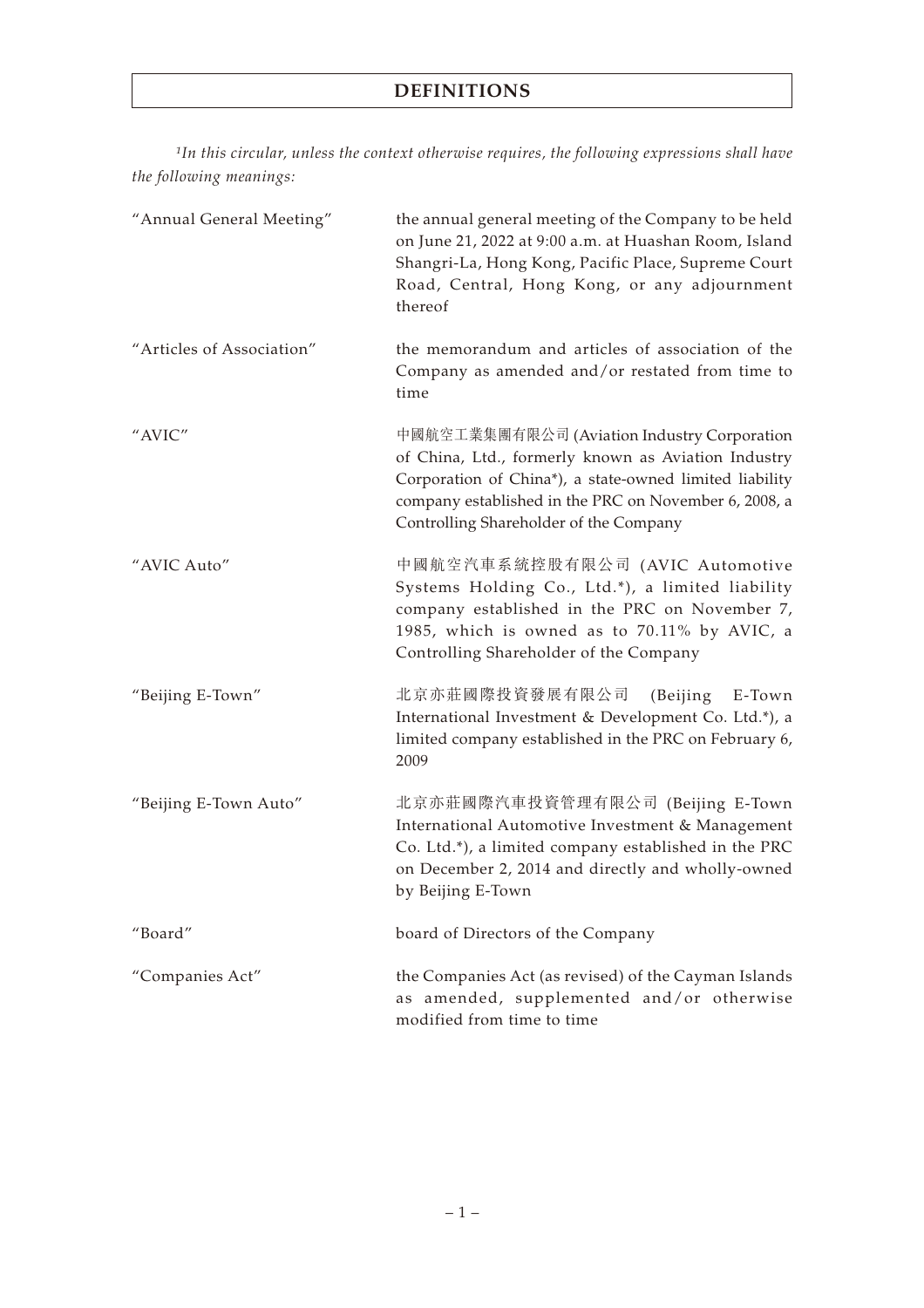## **DEFINITIONS**

*1In this circular, unless the context otherwise requires, the following expressions shall have the following meanings:*

| "Annual General Meeting"  | the annual general meeting of the Company to be held<br>on June 21, 2022 at 9:00 a.m. at Huashan Room, Island<br>Shangri-La, Hong Kong, Pacific Place, Supreme Court<br>Road, Central, Hong Kong, or any adjournment<br>thereof                                  |
|---------------------------|------------------------------------------------------------------------------------------------------------------------------------------------------------------------------------------------------------------------------------------------------------------|
| "Articles of Association" | the memorandum and articles of association of the<br>Company as amended and/or restated from time to<br>time                                                                                                                                                     |
| "AVIC"                    | 中國航空工業集團有限公司 (Aviation Industry Corporation<br>of China, Ltd., formerly known as Aviation Industry<br>Corporation of China*), a state-owned limited liability<br>company established in the PRC on November 6, 2008, a<br>Controlling Shareholder of the Company |
| "AVIC Auto"               | 中國航空汽車系統控股有限公司 (AVIC Automotive<br>Systems Holding Co., Ltd.*), a limited liability<br>company established in the PRC on November 7,<br>1985, which is owned as to 70.11% by AVIC, a<br>Controlling Shareholder of the Company                                   |
| "Beijing E-Town"          | 北京亦莊國際投資發展有限公司<br>(Beijing E-Town<br>International Investment & Development Co. Ltd.*), a<br>limited company established in the PRC on February 6,<br>2009                                                                                                       |
| "Beijing E-Town Auto"     | 北京亦莊國際汽車投資管理有限公司 (Beijing E-Town<br>International Automotive Investment & Management<br>Co. Ltd.*), a limited company established in the PRC<br>on December 2, 2014 and directly and wholly-owned<br>by Beijing E-Town                                           |
| "Board"                   | board of Directors of the Company                                                                                                                                                                                                                                |
| "Companies Act"           | the Companies Act (as revised) of the Cayman Islands<br>as amended, supplemented and/or otherwise<br>modified from time to time                                                                                                                                  |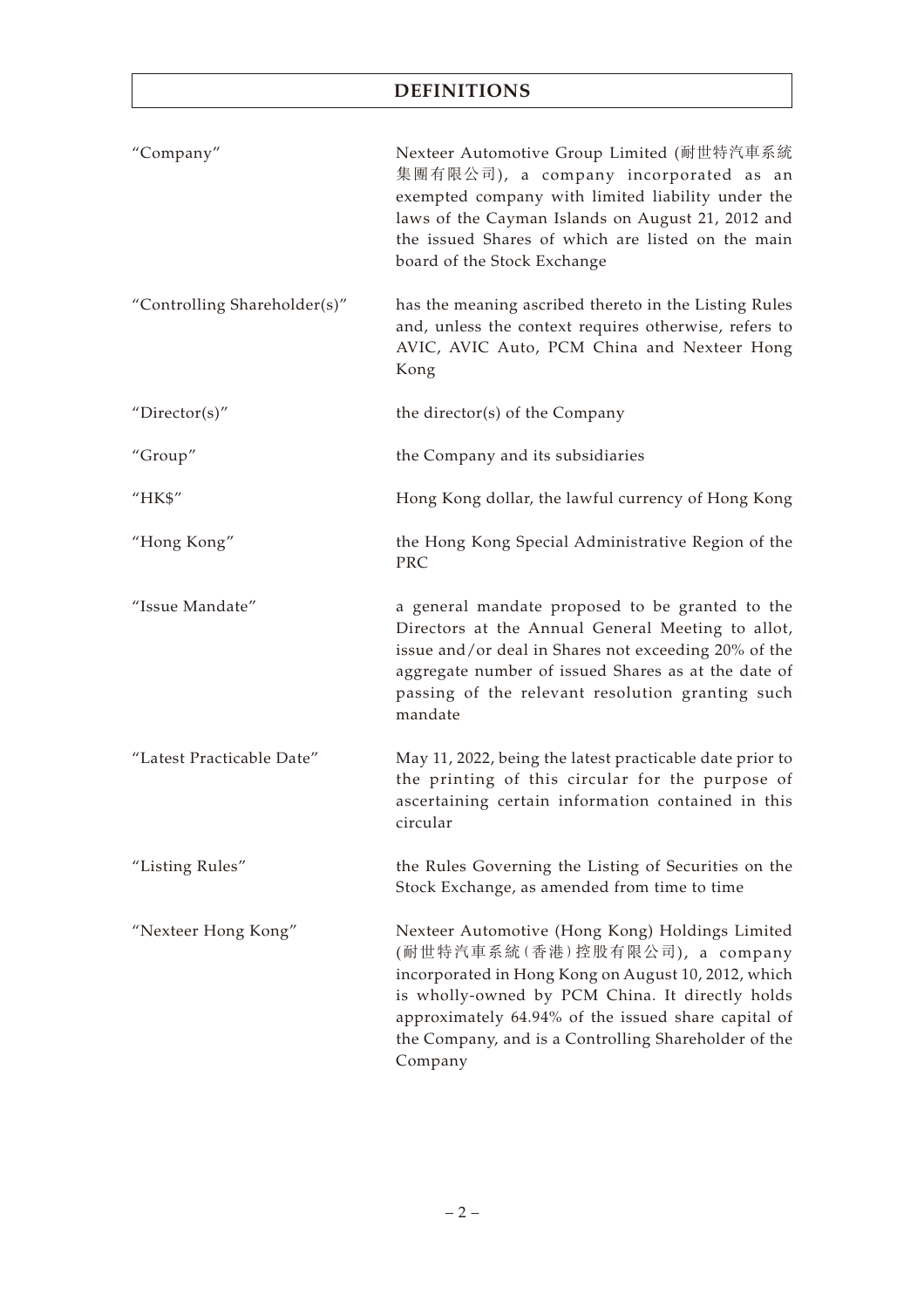## **DEFINITIONS**

| "Company"                    | Nexteer Automotive Group Limited (耐世特汽車系統<br>集團有限公司), a company incorporated as an<br>exempted company with limited liability under the<br>laws of the Cayman Islands on August 21, 2012 and<br>the issued Shares of which are listed on the main<br>board of the Stock Exchange                                      |
|------------------------------|-----------------------------------------------------------------------------------------------------------------------------------------------------------------------------------------------------------------------------------------------------------------------------------------------------------------------|
| "Controlling Shareholder(s)" | has the meaning ascribed thereto in the Listing Rules<br>and, unless the context requires otherwise, refers to<br>AVIC, AVIC Auto, PCM China and Nexteer Hong<br>Kong                                                                                                                                                 |
| "Director(s)"                | the director(s) of the Company                                                                                                                                                                                                                                                                                        |
| "Group"                      | the Company and its subsidiaries                                                                                                                                                                                                                                                                                      |
| "HK\$"                       | Hong Kong dollar, the lawful currency of Hong Kong                                                                                                                                                                                                                                                                    |
| "Hong Kong"                  | the Hong Kong Special Administrative Region of the<br>PRC                                                                                                                                                                                                                                                             |
| "Issue Mandate"              | a general mandate proposed to be granted to the<br>Directors at the Annual General Meeting to allot,<br>issue and/or deal in Shares not exceeding 20% of the<br>aggregate number of issued Shares as at the date of<br>passing of the relevant resolution granting such<br>mandate                                    |
| "Latest Practicable Date"    | May 11, 2022, being the latest practicable date prior to<br>the printing of this circular for the purpose of<br>ascertaining certain information contained in this<br>circular                                                                                                                                        |
| "Listing Rules"              | the Rules Governing the Listing of Securities on the<br>Stock Exchange, as amended from time to time                                                                                                                                                                                                                  |
| "Nexteer Hong Kong"          | Nexteer Automotive (Hong Kong) Holdings Limited<br>(耐世特汽車系統(香港)控股有限公司), a company<br>incorporated in Hong Kong on August 10, 2012, which<br>is wholly-owned by PCM China. It directly holds<br>approximately 64.94% of the issued share capital of<br>the Company, and is a Controlling Shareholder of the<br>Company |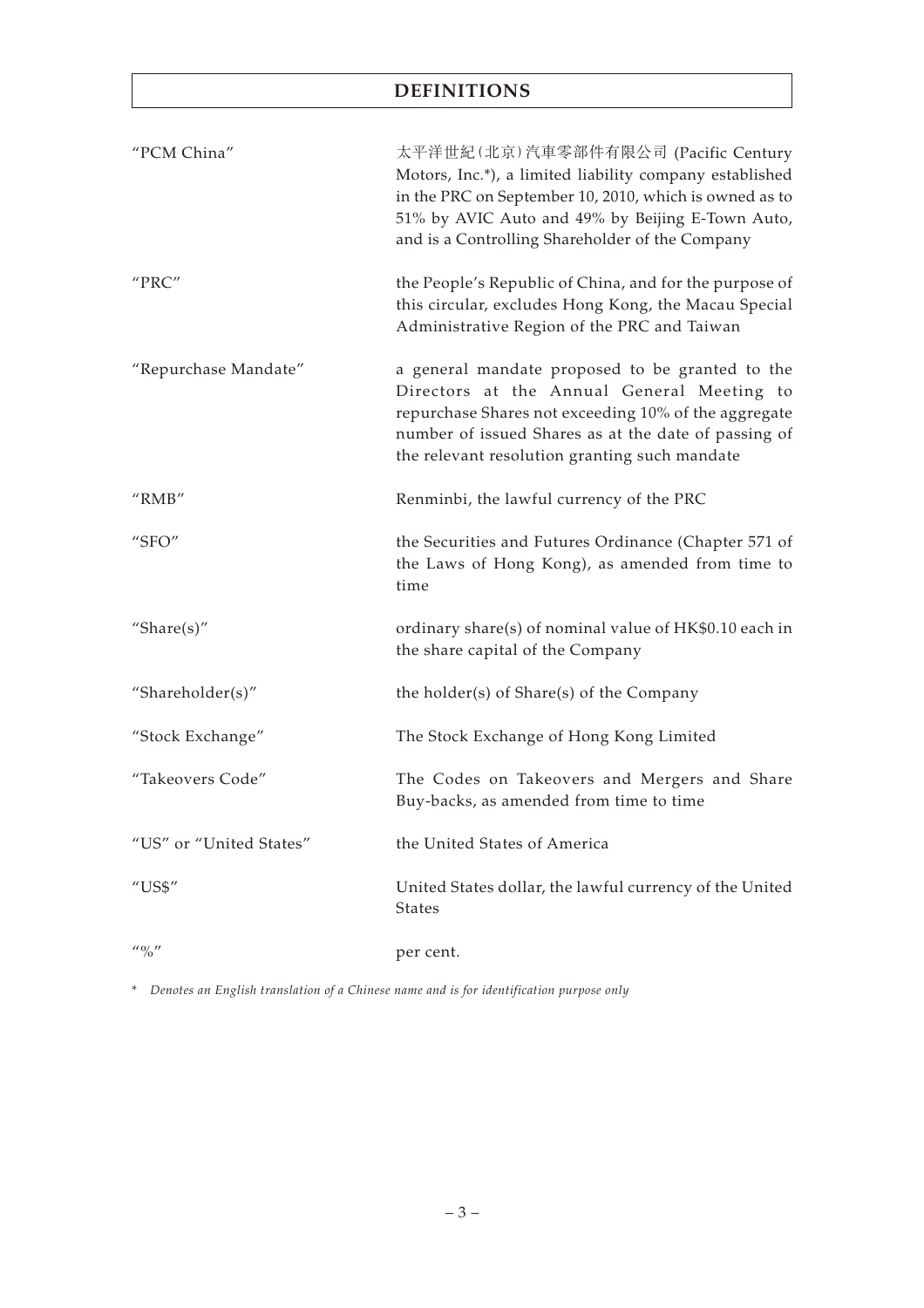## **DEFINITIONS**

| "PCM China"                           | 太平洋世紀(北京)汽車零部件有限公司 (Pacific Century<br>Motors, Inc.*), a limited liability company established<br>in the PRC on September 10, 2010, which is owned as to<br>51% by AVIC Auto and 49% by Beijing E-Town Auto,<br>and is a Controlling Shareholder of the Company |
|---------------------------------------|-----------------------------------------------------------------------------------------------------------------------------------------------------------------------------------------------------------------------------------------------------------------|
| "PRC"                                 | the People's Republic of China, and for the purpose of<br>this circular, excludes Hong Kong, the Macau Special<br>Administrative Region of the PRC and Taiwan                                                                                                   |
| "Repurchase Mandate"                  | a general mandate proposed to be granted to the<br>Directors at the Annual General Meeting to<br>repurchase Shares not exceeding 10% of the aggregate<br>number of issued Shares as at the date of passing of<br>the relevant resolution granting such mandate  |
| " $RMB"$                              | Renminbi, the lawful currency of the PRC                                                                                                                                                                                                                        |
| "SFO"                                 | the Securities and Futures Ordinance (Chapter 571 of<br>the Laws of Hong Kong), as amended from time to<br>time                                                                                                                                                 |
| "Share $(s)$ "                        | ordinary share(s) of nominal value of HK\$0.10 each in<br>the share capital of the Company                                                                                                                                                                      |
| "Shareholder(s)"                      | the holder(s) of Share(s) of the Company                                                                                                                                                                                                                        |
| "Stock Exchange"                      | The Stock Exchange of Hong Kong Limited                                                                                                                                                                                                                         |
| "Takeovers Code"                      | The Codes on Takeovers and Mergers and Share<br>Buy-backs, as amended from time to time                                                                                                                                                                         |
| "US" or "United States"               | the United States of America                                                                                                                                                                                                                                    |
| $^{\prime\prime}$ US\$"               | United States dollar, the lawful currency of the United<br>States                                                                                                                                                                                               |
| $^{\prime\prime}$ % $^{\prime\prime}$ | per cent.                                                                                                                                                                                                                                                       |

\* *Denotes an English translation of a Chinese name and is for identification purpose only*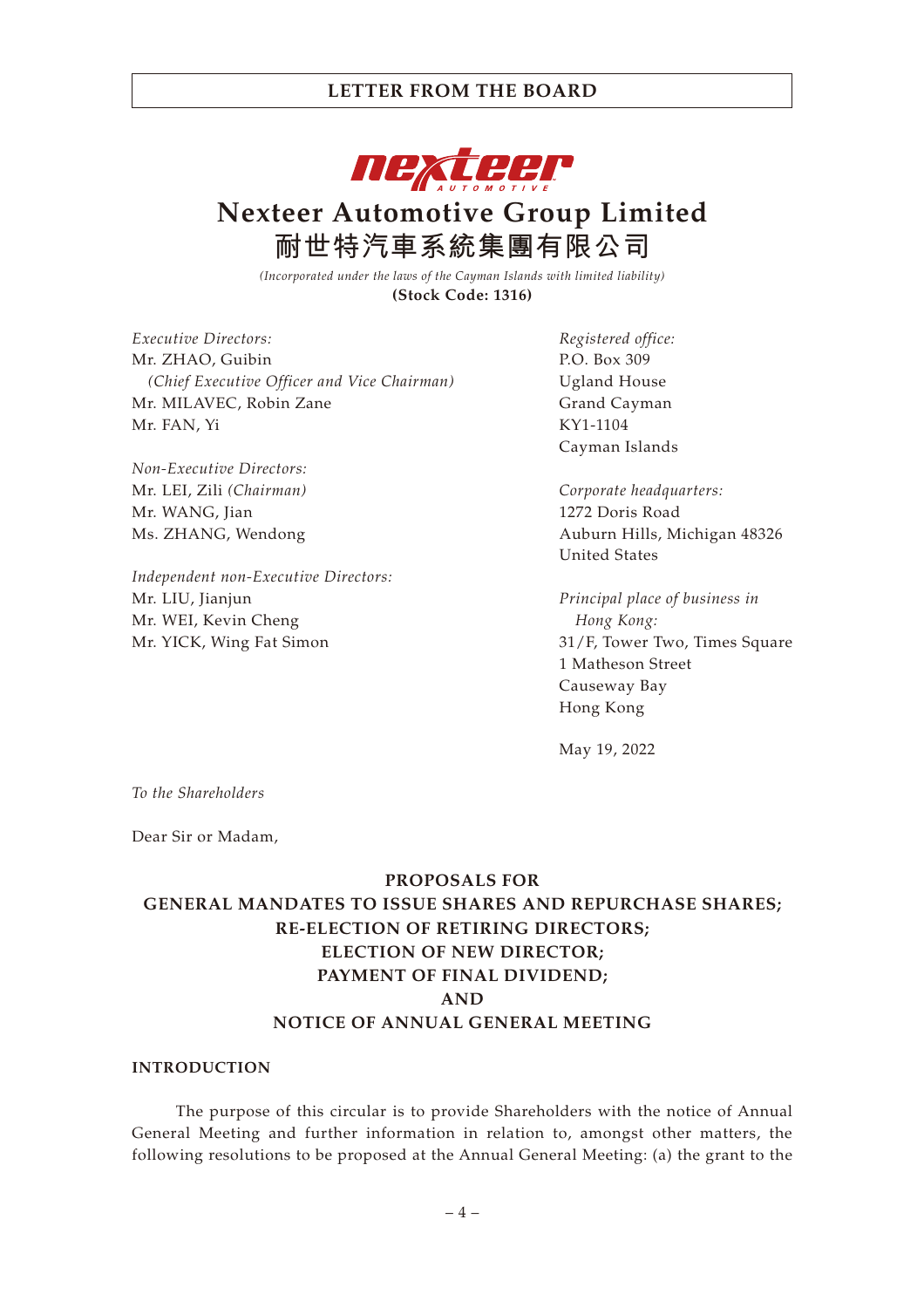

# **Nexteer Automotive Group Limited 耐世特汽車系統集團有限公司**

*(Incorporated under the laws of the Cayman Islands with limited liability)* **(Stock Code: 1316)**

*Executive Directors:* Mr. ZHAO, Guibin *(Chief Executive Officer and Vice Chairman)* Mr. MILAVEC, Robin Zane Mr. FAN, Yi

*Non-Executive Directors:* Mr. LEI, Zili *(Chairman)* Mr. WANG, Jian Ms. ZHANG, Wendong

*Independent non-Executive Directors:* Mr. LIU, Jianjun Mr. WEI, Kevin Cheng Mr. YICK, Wing Fat Simon

*Registered office:* P.O. Box 309 Ugland House Grand Cayman KY1-1104 Cayman Islands

*Corporate headquarters:* 1272 Doris Road Auburn Hills, Michigan 48326 United States

*Principal place of business in Hong Kong:* 31/F, Tower Two, Times Square 1 Matheson Street Causeway Bay Hong Kong

May 19, 2022

*To the Shareholders*

Dear Sir or Madam,

#### **PROPOSALS FOR**

## **GENERAL MANDATES TO ISSUE SHARES AND REPURCHASE SHARES; RE-ELECTION OF RETIRING DIRECTORS; ELECTION OF NEW DIRECTOR; PAYMENT OF FINAL DIVIDEND; AND NOTICE OF ANNUAL GENERAL MEETING**

#### **INTRODUCTION**

The purpose of this circular is to provide Shareholders with the notice of Annual General Meeting and further information in relation to, amongst other matters, the following resolutions to be proposed at the Annual General Meeting: (a) the grant to the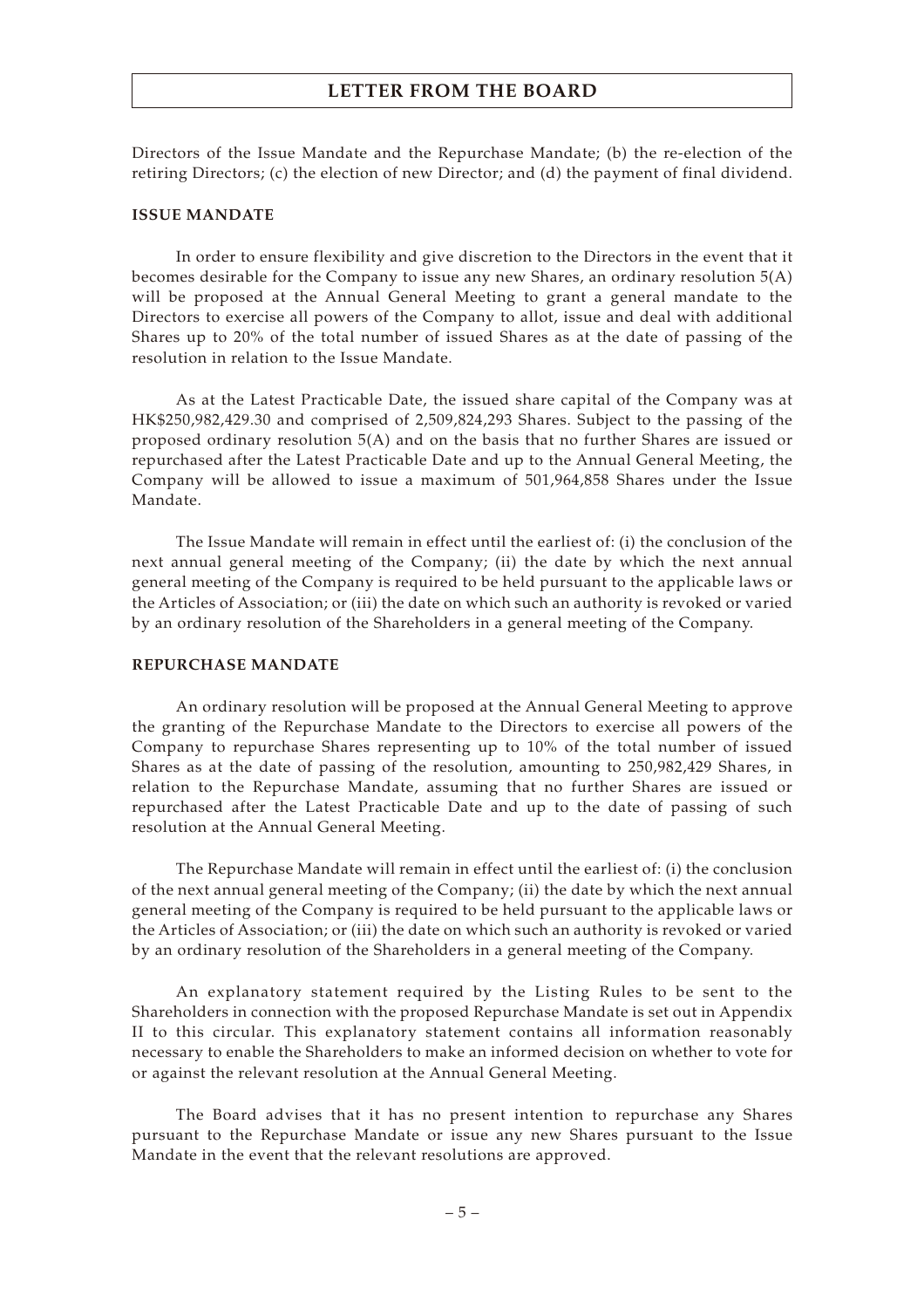Directors of the Issue Mandate and the Repurchase Mandate; (b) the re-election of the retiring Directors; (c) the election of new Director; and (d) the payment of final dividend.

#### **ISSUE MANDATE**

In order to ensure flexibility and give discretion to the Directors in the event that it becomes desirable for the Company to issue any new Shares, an ordinary resolution 5(A) will be proposed at the Annual General Meeting to grant a general mandate to the Directors to exercise all powers of the Company to allot, issue and deal with additional Shares up to 20% of the total number of issued Shares as at the date of passing of the resolution in relation to the Issue Mandate.

As at the Latest Practicable Date, the issued share capital of the Company was at HK\$250,982,429.30 and comprised of 2,509,824,293 Shares. Subject to the passing of the proposed ordinary resolution 5(A) and on the basis that no further Shares are issued or repurchased after the Latest Practicable Date and up to the Annual General Meeting, the Company will be allowed to issue a maximum of 501,964,858 Shares under the Issue Mandate.

The Issue Mandate will remain in effect until the earliest of: (i) the conclusion of the next annual general meeting of the Company; (ii) the date by which the next annual general meeting of the Company is required to be held pursuant to the applicable laws or the Articles of Association; or (iii) the date on which such an authority is revoked or varied by an ordinary resolution of the Shareholders in a general meeting of the Company.

#### **REPURCHASE MANDATE**

An ordinary resolution will be proposed at the Annual General Meeting to approve the granting of the Repurchase Mandate to the Directors to exercise all powers of the Company to repurchase Shares representing up to 10% of the total number of issued Shares as at the date of passing of the resolution, amounting to 250,982,429 Shares, in relation to the Repurchase Mandate, assuming that no further Shares are issued or repurchased after the Latest Practicable Date and up to the date of passing of such resolution at the Annual General Meeting.

The Repurchase Mandate will remain in effect until the earliest of: (i) the conclusion of the next annual general meeting of the Company; (ii) the date by which the next annual general meeting of the Company is required to be held pursuant to the applicable laws or the Articles of Association; or (iii) the date on which such an authority is revoked or varied by an ordinary resolution of the Shareholders in a general meeting of the Company.

An explanatory statement required by the Listing Rules to be sent to the Shareholders in connection with the proposed Repurchase Mandate is set out in Appendix II to this circular. This explanatory statement contains all information reasonably necessary to enable the Shareholders to make an informed decision on whether to vote for or against the relevant resolution at the Annual General Meeting.

The Board advises that it has no present intention to repurchase any Shares pursuant to the Repurchase Mandate or issue any new Shares pursuant to the Issue Mandate in the event that the relevant resolutions are approved.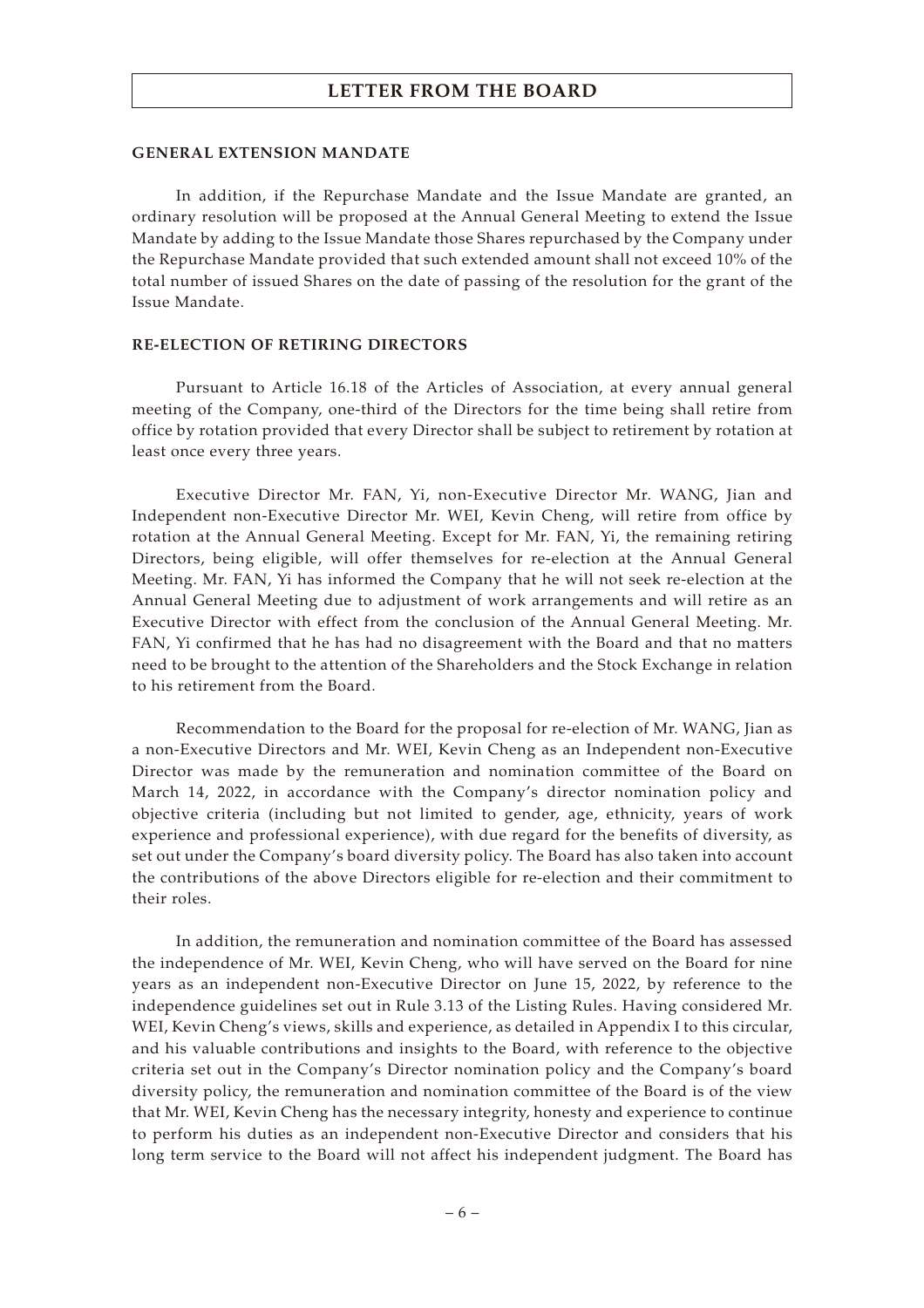#### **GENERAL EXTENSION MANDATE**

In addition, if the Repurchase Mandate and the Issue Mandate are granted, an ordinary resolution will be proposed at the Annual General Meeting to extend the Issue Mandate by adding to the Issue Mandate those Shares repurchased by the Company under the Repurchase Mandate provided that such extended amount shall not exceed 10% of the total number of issued Shares on the date of passing of the resolution for the grant of the Issue Mandate.

#### **RE-ELECTION OF RETIRING DIRECTORS**

Pursuant to Article 16.18 of the Articles of Association, at every annual general meeting of the Company, one-third of the Directors for the time being shall retire from office by rotation provided that every Director shall be subject to retirement by rotation at least once every three years.

Executive Director Mr. FAN, Yi, non-Executive Director Mr. WANG, Jian and Independent non-Executive Director Mr. WEI, Kevin Cheng, will retire from office by rotation at the Annual General Meeting. Except for Mr. FAN, Yi, the remaining retiring Directors, being eligible, will offer themselves for re-election at the Annual General Meeting. Mr. FAN, Yi has informed the Company that he will not seek re-election at the Annual General Meeting due to adjustment of work arrangements and will retire as an Executive Director with effect from the conclusion of the Annual General Meeting. Mr. FAN, Yi confirmed that he has had no disagreement with the Board and that no matters need to be brought to the attention of the Shareholders and the Stock Exchange in relation to his retirement from the Board.

Recommendation to the Board for the proposal for re-election of Mr. WANG, Jian as a non-Executive Directors and Mr. WEI, Kevin Cheng as an Independent non-Executive Director was made by the remuneration and nomination committee of the Board on March 14, 2022, in accordance with the Company's director nomination policy and objective criteria (including but not limited to gender, age, ethnicity, years of work experience and professional experience), with due regard for the benefits of diversity, as set out under the Company's board diversity policy. The Board has also taken into account the contributions of the above Directors eligible for re-election and their commitment to their roles.

In addition, the remuneration and nomination committee of the Board has assessed the independence of Mr. WEI, Kevin Cheng, who will have served on the Board for nine years as an independent non-Executive Director on June 15, 2022, by reference to the independence guidelines set out in Rule 3.13 of the Listing Rules. Having considered Mr. WEI, Kevin Cheng's views, skills and experience, as detailed in Appendix I to this circular, and his valuable contributions and insights to the Board, with reference to the objective criteria set out in the Company's Director nomination policy and the Company's board diversity policy, the remuneration and nomination committee of the Board is of the view that Mr. WEI, Kevin Cheng has the necessary integrity, honesty and experience to continue to perform his duties as an independent non-Executive Director and considers that his long term service to the Board will not affect his independent judgment. The Board has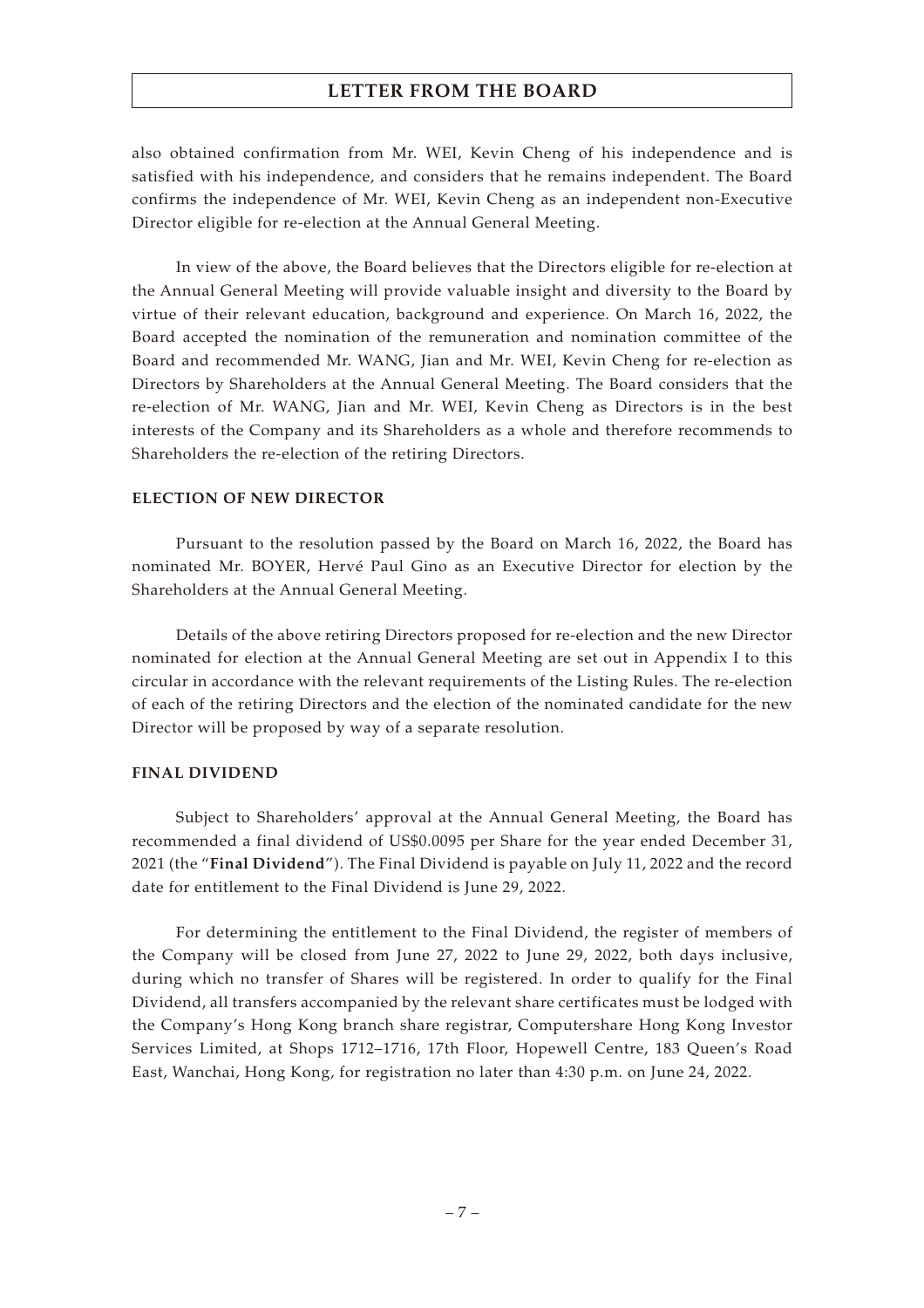also obtained confirmation from Mr. WEI, Kevin Cheng of his independence and is satisfied with his independence, and considers that he remains independent. The Board confirms the independence of Mr. WEI, Kevin Cheng as an independent non-Executive Director eligible for re-election at the Annual General Meeting.

In view of the above, the Board believes that the Directors eligible for re-election at the Annual General Meeting will provide valuable insight and diversity to the Board by virtue of their relevant education, background and experience. On March 16, 2022, the Board accepted the nomination of the remuneration and nomination committee of the Board and recommended Mr. WANG, Jian and Mr. WEI, Kevin Cheng for re-election as Directors by Shareholders at the Annual General Meeting. The Board considers that the re-election of Mr. WANG, Jian and Mr. WEI, Kevin Cheng as Directors is in the best interests of the Company and its Shareholders as a whole and therefore recommends to Shareholders the re-election of the retiring Directors.

#### **ELECTION OF NEW DIRECTOR**

Pursuant to the resolution passed by the Board on March 16, 2022, the Board has nominated Mr. BOYER, Hervé Paul Gino as an Executive Director for election by the Shareholders at the Annual General Meeting.

Details of the above retiring Directors proposed for re-election and the new Director nominated for election at the Annual General Meeting are set out in Appendix I to this circular in accordance with the relevant requirements of the Listing Rules. The re-election of each of the retiring Directors and the election of the nominated candidate for the new Director will be proposed by way of a separate resolution.

#### **FINAL DIVIDEND**

Subject to Shareholders' approval at the Annual General Meeting, the Board has recommended a final dividend of US\$0.0095 per Share for the year ended December 31, 2021 (the "**Final Dividend**"). The Final Dividend is payable on July 11, 2022 and the record date for entitlement to the Final Dividend is June 29, 2022.

For determining the entitlement to the Final Dividend, the register of members of the Company will be closed from June 27, 2022 to June 29, 2022, both days inclusive, during which no transfer of Shares will be registered. In order to qualify for the Final Dividend, all transfers accompanied by the relevant share certificates must be lodged with the Company's Hong Kong branch share registrar, Computershare Hong Kong Investor Services Limited, at Shops 1712–1716, 17th Floor, Hopewell Centre, 183 Queen's Road East, Wanchai, Hong Kong, for registration no later than 4:30 p.m. on June 24, 2022.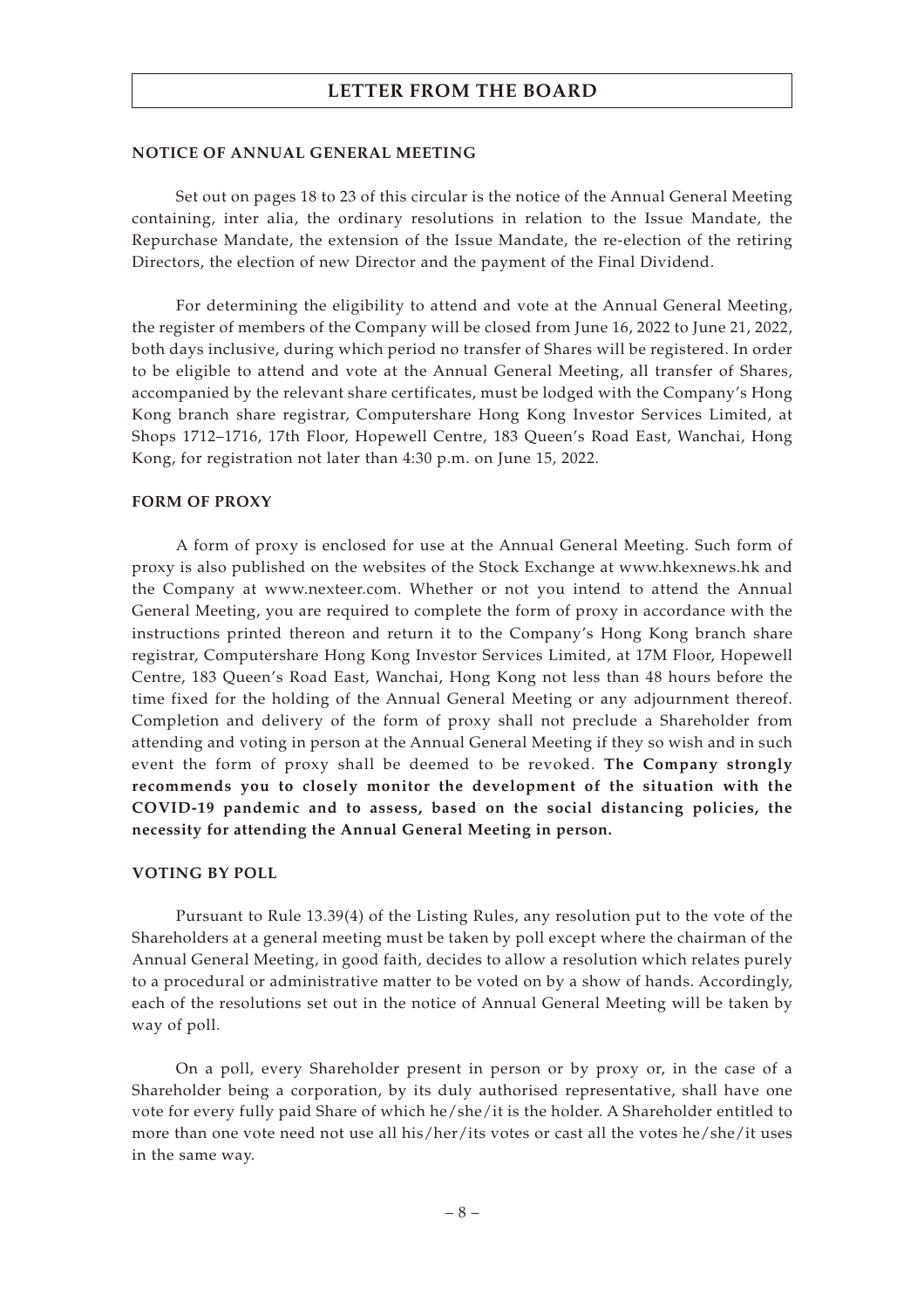#### **NOTICE OF ANNUAL GENERAL MEETING**

Set out on pages 18 to 23 of this circular is the notice of the Annual General Meeting containing, inter alia, the ordinary resolutions in relation to the Issue Mandate, the Repurchase Mandate, the extension of the Issue Mandate, the re-election of the retiring Directors, the election of new Director and the payment of the Final Dividend.

For determining the eligibility to attend and vote at the Annual General Meeting, the register of members of the Company will be closed from June 16, 2022 to June 21, 2022, both days inclusive, during which period no transfer of Shares will be registered. In order to be eligible to attend and vote at the Annual General Meeting, all transfer of Shares, accompanied by the relevant share certificates, must be lodged with the Company's Hong Kong branch share registrar, Computershare Hong Kong Investor Services Limited, at Shops 1712–1716, 17th Floor, Hopewell Centre, 183 Queen's Road East, Wanchai, Hong Kong, for registration not later than 4:30 p.m. on June 15, 2022.

#### **FORM OF PROXY**

A form of proxy is enclosed for use at the Annual General Meeting. Such form of proxy is also published on the websites of the Stock Exchange at www.hkexnews.hk and the Company at www.nexteer.com. Whether or not you intend to attend the Annual General Meeting, you are required to complete the form of proxy in accordance with the instructions printed thereon and return it to the Company's Hong Kong branch share registrar, Computershare Hong Kong Investor Services Limited, at 17M Floor, Hopewell Centre, 183 Queen's Road East, Wanchai, Hong Kong not less than 48 hours before the time fixed for the holding of the Annual General Meeting or any adjournment thereof. Completion and delivery of the form of proxy shall not preclude a Shareholder from attending and voting in person at the Annual General Meeting if they so wish and in such event the form of proxy shall be deemed to be revoked. **The Company strongly recommends you to closely monitor the development of the situation with the COVID-19 pandemic and to assess, based on the social distancing policies, the necessity for attending the Annual General Meeting in person.**

#### **VOTING BY POLL**

Pursuant to Rule 13.39(4) of the Listing Rules, any resolution put to the vote of the Shareholders at a general meeting must be taken by poll except where the chairman of the Annual General Meeting, in good faith, decides to allow a resolution which relates purely to a procedural or administrative matter to be voted on by a show of hands. Accordingly, each of the resolutions set out in the notice of Annual General Meeting will be taken by way of poll.

On a poll, every Shareholder present in person or by proxy or, in the case of a Shareholder being a corporation, by its duly authorised representative, shall have one vote for every fully paid Share of which he/she/it is the holder. A Shareholder entitled to more than one vote need not use all his/her/its votes or cast all the votes he/she/it uses in the same way.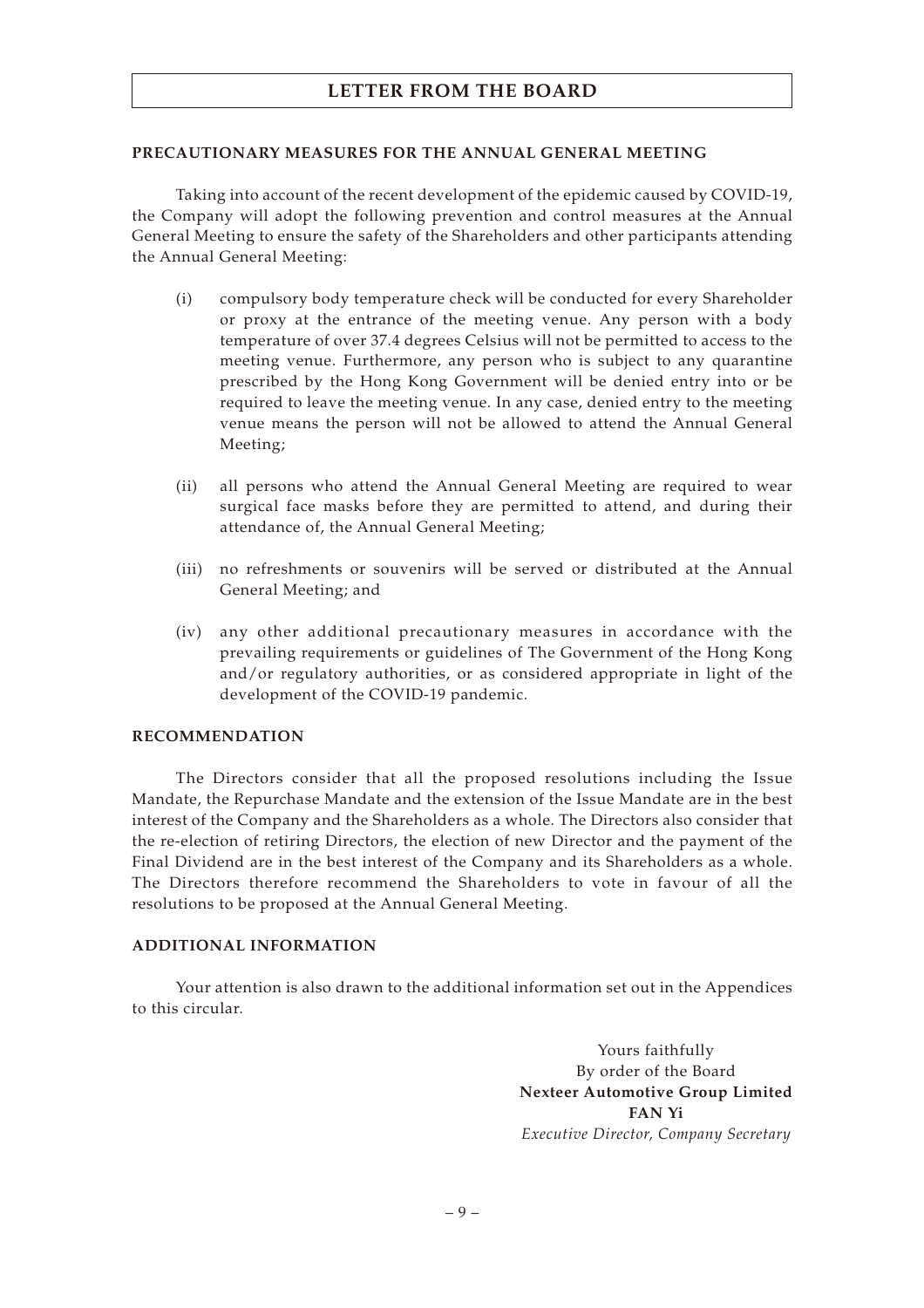#### **PRECAUTIONARY MEASURES FOR THE ANNUAL GENERAL MEETING**

Taking into account of the recent development of the epidemic caused by COVID-19, the Company will adopt the following prevention and control measures at the Annual General Meeting to ensure the safety of the Shareholders and other participants attending the Annual General Meeting:

- (i) compulsory body temperature check will be conducted for every Shareholder or proxy at the entrance of the meeting venue. Any person with a body temperature of over 37.4 degrees Celsius will not be permitted to access to the meeting venue. Furthermore, any person who is subject to any quarantine prescribed by the Hong Kong Government will be denied entry into or be required to leave the meeting venue. In any case, denied entry to the meeting venue means the person will not be allowed to attend the Annual General Meeting;
- (ii) all persons who attend the Annual General Meeting are required to wear surgical face masks before they are permitted to attend, and during their attendance of, the Annual General Meeting;
- (iii) no refreshments or souvenirs will be served or distributed at the Annual General Meeting; and
- (iv) any other additional precautionary measures in accordance with the prevailing requirements or guidelines of The Government of the Hong Kong and/or regulatory authorities, or as considered appropriate in light of the development of the COVID-19 pandemic.

### **RECOMMENDATION**

The Directors consider that all the proposed resolutions including the Issue Mandate, the Repurchase Mandate and the extension of the Issue Mandate are in the best interest of the Company and the Shareholders as a whole. The Directors also consider that the re-election of retiring Directors, the election of new Director and the payment of the Final Dividend are in the best interest of the Company and its Shareholders as a whole. The Directors therefore recommend the Shareholders to vote in favour of all the resolutions to be proposed at the Annual General Meeting.

### **ADDITIONAL INFORMATION**

Your attention is also drawn to the additional information set out in the Appendices to this circular.

> Yours faithfully By order of the Board **Nexteer Automotive Group Limited FAN Yi** *Executive Director, Company Secretary*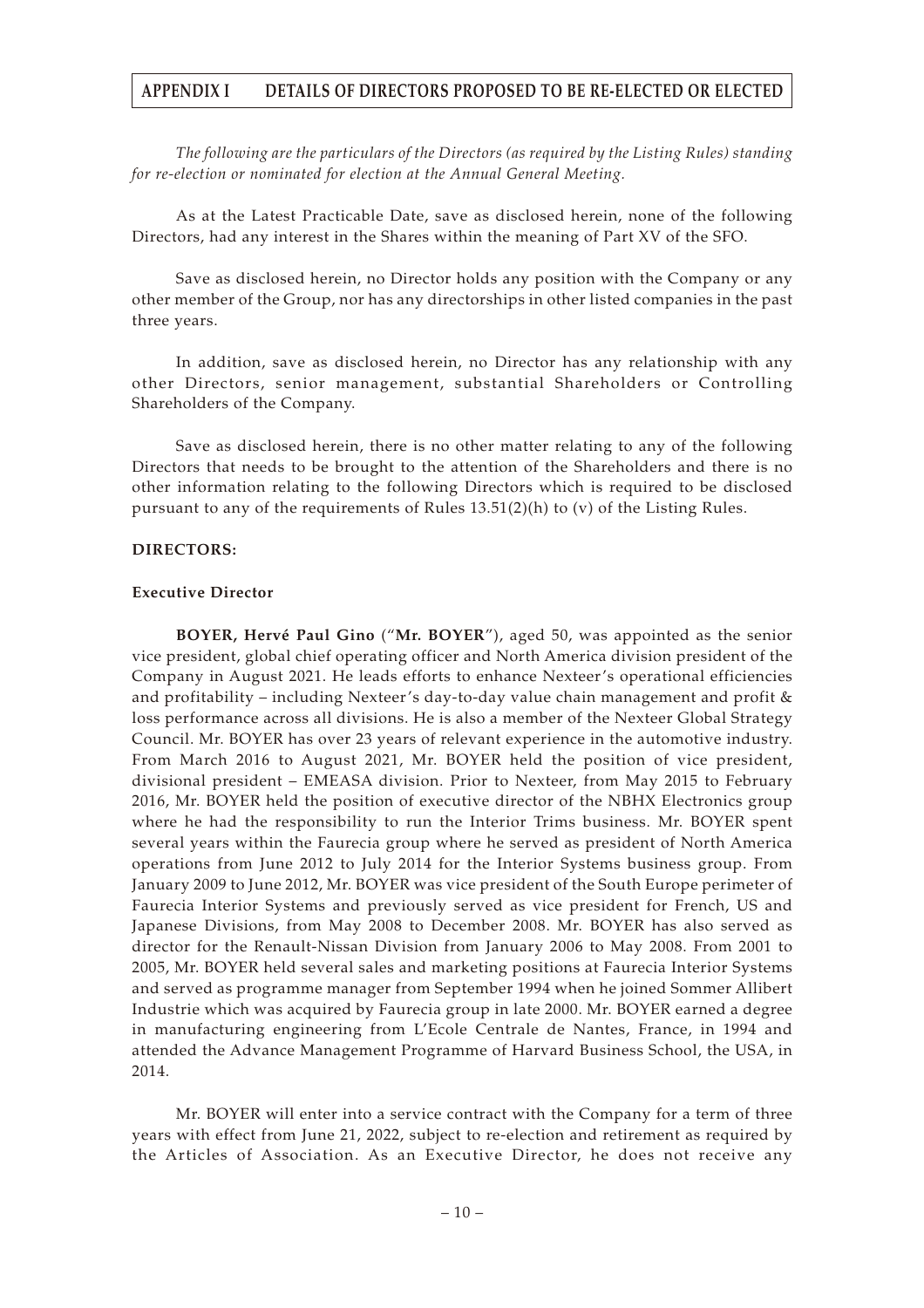*The following are the particulars of the Directors (as required by the Listing Rules) standing for re-election or nominated for election at the Annual General Meeting.*

As at the Latest Practicable Date, save as disclosed herein, none of the following Directors, had any interest in the Shares within the meaning of Part XV of the SFO.

Save as disclosed herein, no Director holds any position with the Company or any other member of the Group, nor has any directorships in other listed companies in the past three years.

In addition, save as disclosed herein, no Director has any relationship with any other Directors, senior management, substantial Shareholders or Controlling Shareholders of the Company.

Save as disclosed herein, there is no other matter relating to any of the following Directors that needs to be brought to the attention of the Shareholders and there is no other information relating to the following Directors which is required to be disclosed pursuant to any of the requirements of Rules  $13.51(2)(h)$  to (v) of the Listing Rules.

#### **DIRECTORS:**

#### **Executive Director**

**BOYER, Hervé Paul Gino** ("**Mr. BOYER**"), aged 50, was appointed as the senior vice president, global chief operating officer and North America division president of the Company in August 2021. He leads efforts to enhance Nexteer's operational efficiencies and profitability – including Nexteer's day-to-day value chain management and profit & loss performance across all divisions. He is also a member of the Nexteer Global Strategy Council. Mr. BOYER has over 23 years of relevant experience in the automotive industry. From March 2016 to August 2021, Mr. BOYER held the position of vice president, divisional president – EMEASA division. Prior to Nexteer, from May 2015 to February 2016, Mr. BOYER held the position of executive director of the NBHX Electronics group where he had the responsibility to run the Interior Trims business. Mr. BOYER spent several years within the Faurecia group where he served as president of North America operations from June 2012 to July 2014 for the Interior Systems business group. From January 2009 to June 2012, Mr. BOYER was vice president of the South Europe perimeter of Faurecia Interior Systems and previously served as vice president for French, US and Japanese Divisions, from May 2008 to December 2008. Mr. BOYER has also served as director for the Renault-Nissan Division from January 2006 to May 2008. From 2001 to 2005, Mr. BOYER held several sales and marketing positions at Faurecia Interior Systems and served as programme manager from September 1994 when he joined Sommer Allibert Industrie which was acquired by Faurecia group in late 2000. Mr. BOYER earned a degree in manufacturing engineering from L'Ecole Centrale de Nantes, France, in 1994 and attended the Advance Management Programme of Harvard Business School, the USA, in 2014.

Mr. BOYER will enter into a service contract with the Company for a term of three years with effect from June 21, 2022, subject to re-election and retirement as required by the Articles of Association. As an Executive Director, he does not receive any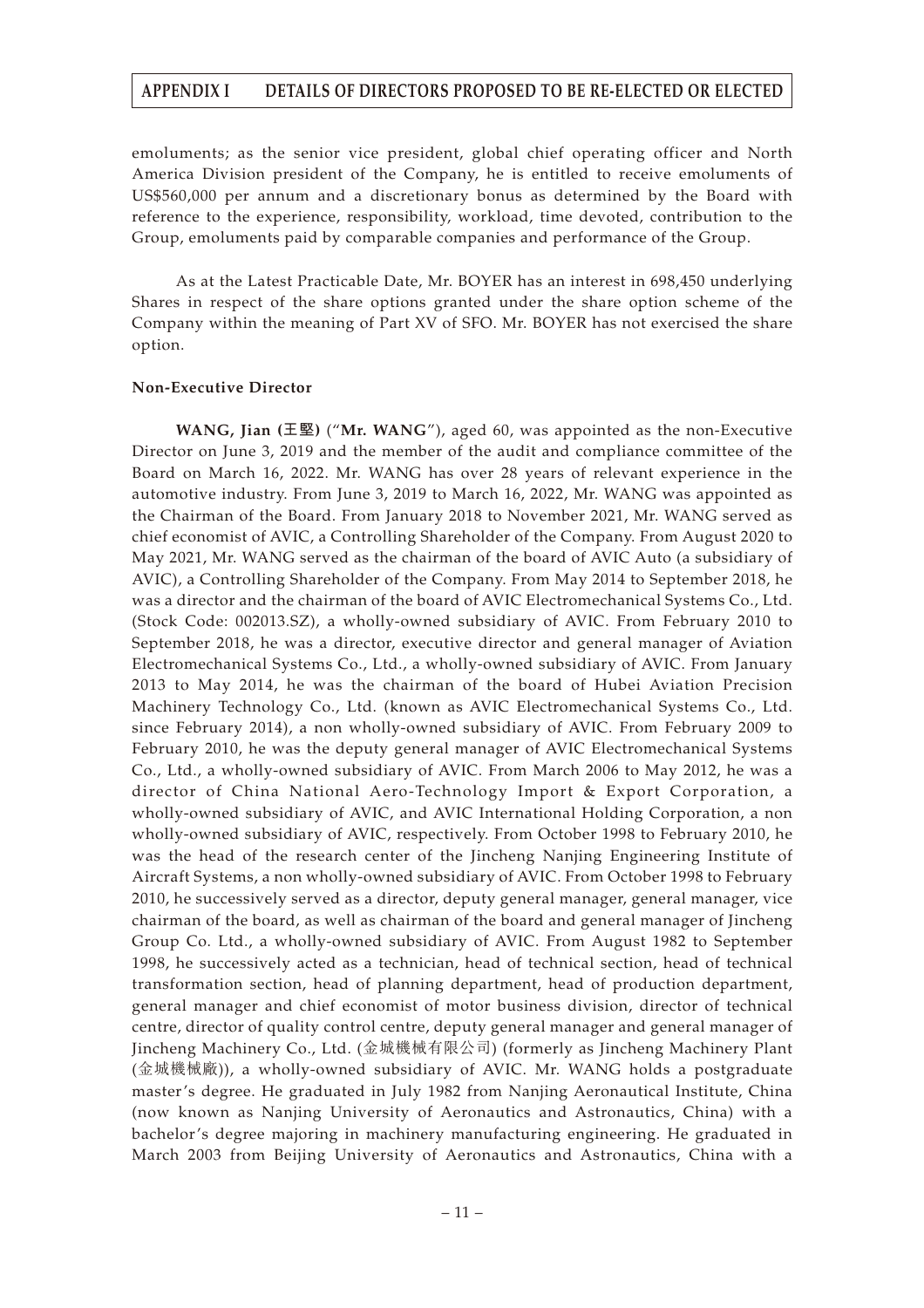emoluments; as the senior vice president, global chief operating officer and North America Division president of the Company, he is entitled to receive emoluments of US\$560,000 per annum and a discretionary bonus as determined by the Board with reference to the experience, responsibility, workload, time devoted, contribution to the Group, emoluments paid by comparable companies and performance of the Group.

As at the Latest Practicable Date, Mr. BOYER has an interest in 698,450 underlying Shares in respect of the share options granted under the share option scheme of the Company within the meaning of Part XV of SFO. Mr. BOYER has not exercised the share option.

#### **Non-Executive Director**

**WANG, Jian (王堅)** ("**Mr. WANG**"), aged 60, was appointed as the non-Executive Director on June 3, 2019 and the member of the audit and compliance committee of the Board on March 16, 2022. Mr. WANG has over 28 years of relevant experience in the automotive industry. From June 3, 2019 to March 16, 2022, Mr. WANG was appointed as the Chairman of the Board. From January 2018 to November 2021, Mr. WANG served as chief economist of AVIC, a Controlling Shareholder of the Company. From August 2020 to May 2021, Mr. WANG served as the chairman of the board of AVIC Auto (a subsidiary of AVIC), a Controlling Shareholder of the Company. From May 2014 to September 2018, he was a director and the chairman of the board of AVIC Electromechanical Systems Co., Ltd. (Stock Code: 002013.SZ), a wholly-owned subsidiary of AVIC. From February 2010 to September 2018, he was a director, executive director and general manager of Aviation Electromechanical Systems Co., Ltd., a wholly-owned subsidiary of AVIC. From January 2013 to May 2014, he was the chairman of the board of Hubei Aviation Precision Machinery Technology Co., Ltd. (known as AVIC Electromechanical Systems Co., Ltd. since February 2014), a non wholly-owned subsidiary of AVIC. From February 2009 to February 2010, he was the deputy general manager of AVIC Electromechanical Systems Co., Ltd., a wholly-owned subsidiary of AVIC. From March 2006 to May 2012, he was a director of China National Aero-Technology Import & Export Corporation, a wholly-owned subsidiary of AVIC, and AVIC International Holding Corporation, a non wholly-owned subsidiary of AVIC, respectively. From October 1998 to February 2010, he was the head of the research center of the Jincheng Nanjing Engineering Institute of Aircraft Systems, a non wholly-owned subsidiary of AVIC. From October 1998 to February 2010, he successively served as a director, deputy general manager, general manager, vice chairman of the board, as well as chairman of the board and general manager of Jincheng Group Co. Ltd., a wholly-owned subsidiary of AVIC. From August 1982 to September 1998, he successively acted as a technician, head of technical section, head of technical transformation section, head of planning department, head of production department, general manager and chief economist of motor business division, director of technical centre, director of quality control centre, deputy general manager and general manager of Jincheng Machinery Co., Ltd. (金城機械有限公司) (formerly as Jincheng Machinery Plant (金城機械廠)), a wholly-owned subsidiary of AVIC. Mr. WANG holds a postgraduate master's degree. He graduated in July 1982 from Nanjing Aeronautical Institute, China (now known as Nanjing University of Aeronautics and Astronautics, China) with a bachelor's degree majoring in machinery manufacturing engineering. He graduated in March 2003 from Beijing University of Aeronautics and Astronautics, China with a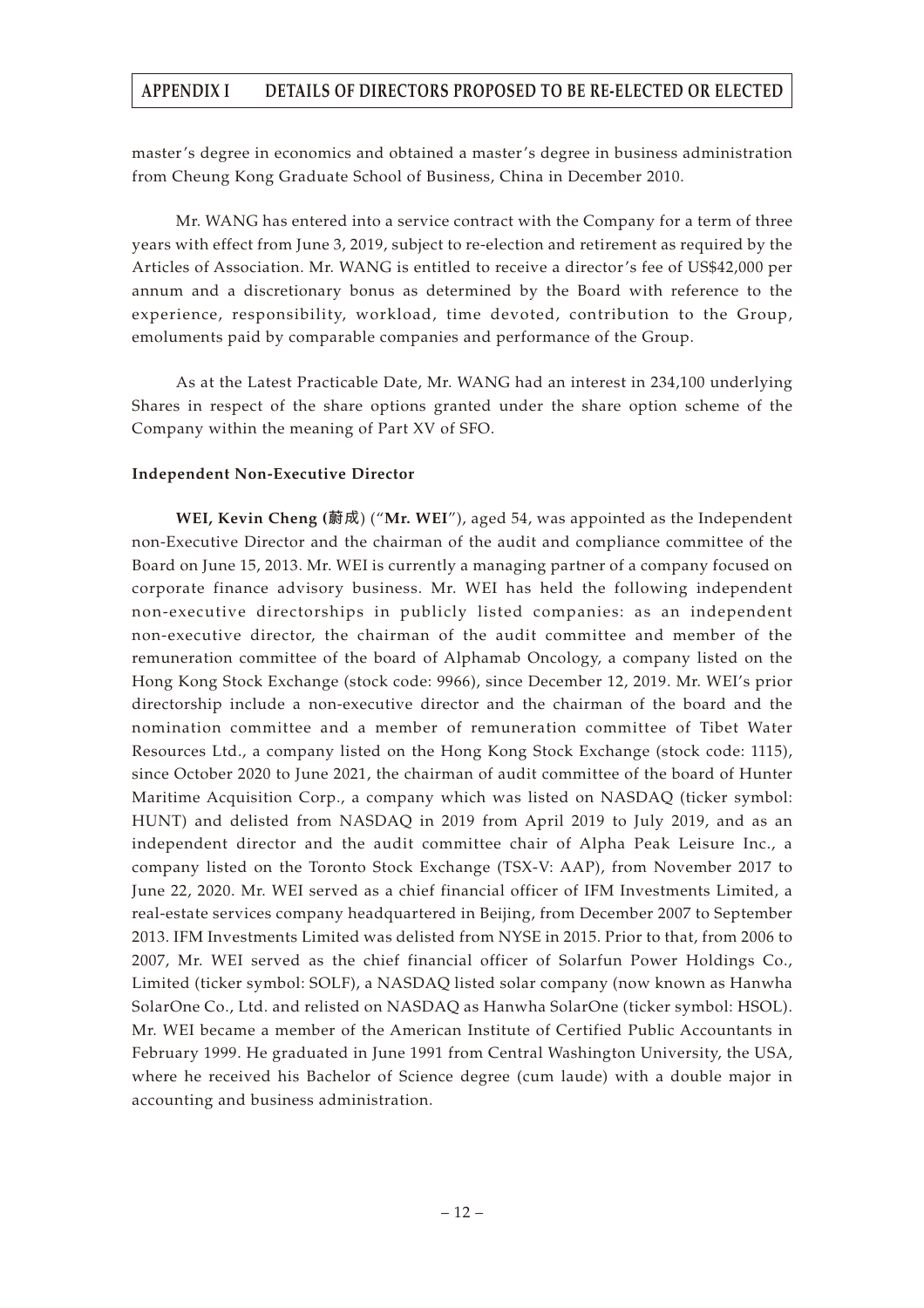master's degree in economics and obtained a master's degree in business administration from Cheung Kong Graduate School of Business, China in December 2010.

Mr. WANG has entered into a service contract with the Company for a term of three years with effect from June 3, 2019, subject to re-election and retirement as required by the Articles of Association. Mr. WANG is entitled to receive a director's fee of US\$42,000 per annum and a discretionary bonus as determined by the Board with reference to the experience, responsibility, workload, time devoted, contribution to the Group, emoluments paid by comparable companies and performance of the Group.

As at the Latest Practicable Date, Mr. WANG had an interest in 234,100 underlying Shares in respect of the share options granted under the share option scheme of the Company within the meaning of Part XV of SFO.

## **Independent Non-Executive Director**

**WEI, Kevin Cheng (蔚成**) ("**Mr. WEI**"), aged 54, was appointed as the Independent non-Executive Director and the chairman of the audit and compliance committee of the Board on June 15, 2013. Mr. WEI is currently a managing partner of a company focused on corporate finance advisory business. Mr. WEI has held the following independent non-executive directorships in publicly listed companies: as an independent non-executive director, the chairman of the audit committee and member of the remuneration committee of the board of Alphamab Oncology, a company listed on the Hong Kong Stock Exchange (stock code: 9966), since December 12, 2019. Mr. WEI's prior directorship include a non-executive director and the chairman of the board and the nomination committee and a member of remuneration committee of Tibet Water Resources Ltd., a company listed on the Hong Kong Stock Exchange (stock code: 1115), since October 2020 to June 2021, the chairman of audit committee of the board of Hunter Maritime Acquisition Corp., a company which was listed on NASDAQ (ticker symbol: HUNT) and delisted from NASDAQ in 2019 from April 2019 to July 2019, and as an independent director and the audit committee chair of Alpha Peak Leisure Inc., a company listed on the Toronto Stock Exchange (TSX-V: AAP), from November 2017 to June 22, 2020. Mr. WEI served as a chief financial officer of IFM Investments Limited, a real-estate services company headquartered in Beijing, from December 2007 to September 2013. IFM Investments Limited was delisted from NYSE in 2015. Prior to that, from 2006 to 2007, Mr. WEI served as the chief financial officer of Solarfun Power Holdings Co., Limited (ticker symbol: SOLF), a NASDAQ listed solar company (now known as Hanwha SolarOne Co., Ltd. and relisted on NASDAQ as Hanwha SolarOne (ticker symbol: HSOL). Mr. WEI became a member of the American Institute of Certified Public Accountants in February 1999. He graduated in June 1991 from Central Washington University, the USA, where he received his Bachelor of Science degree (cum laude) with a double major in accounting and business administration.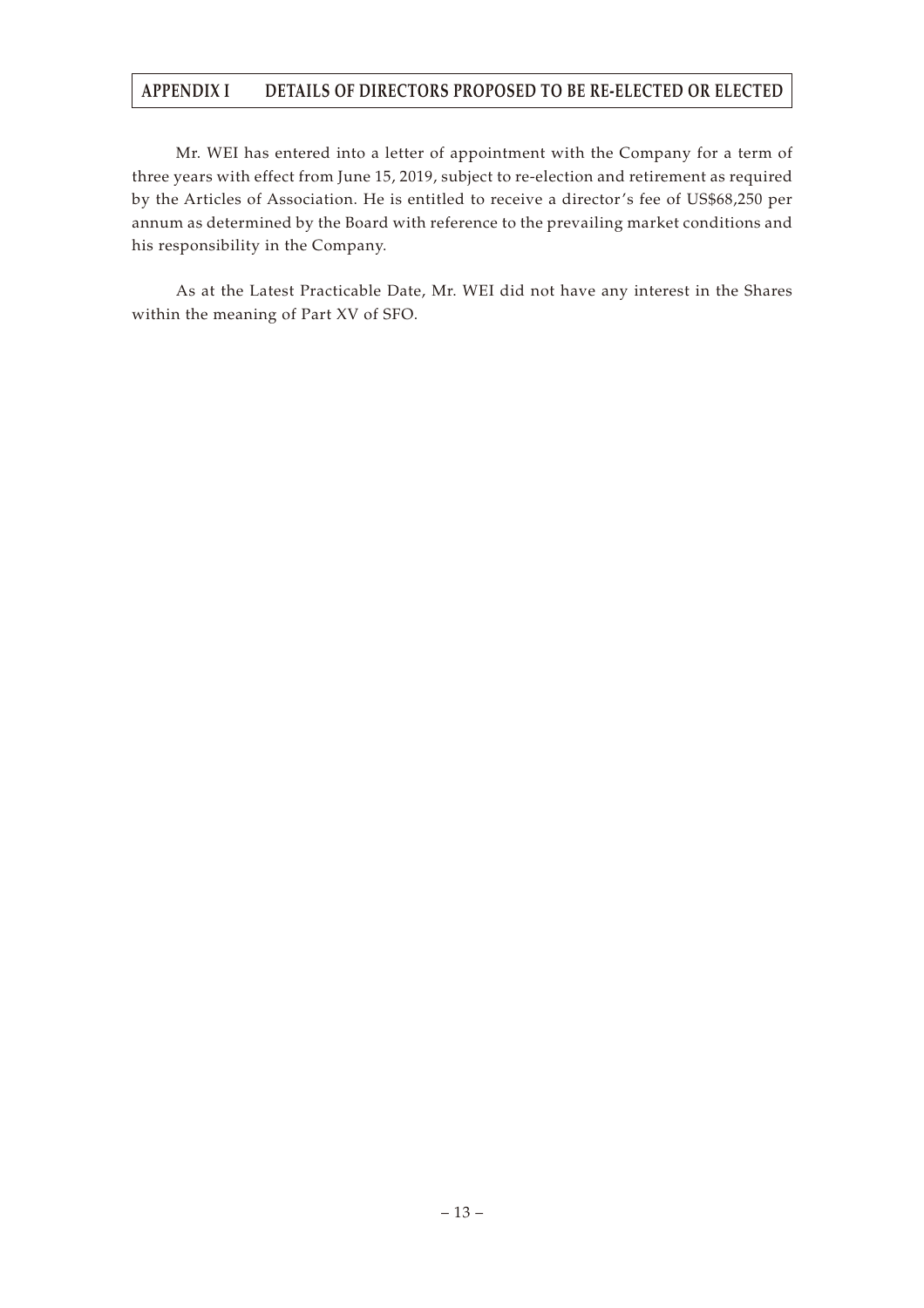Mr. WEI has entered into a letter of appointment with the Company for a term of three years with effect from June 15, 2019, subject to re-election and retirement as required by the Articles of Association. He is entitled to receive a director's fee of US\$68,250 per annum as determined by the Board with reference to the prevailing market conditions and his responsibility in the Company.

As at the Latest Practicable Date, Mr. WEI did not have any interest in the Shares within the meaning of Part XV of SFO.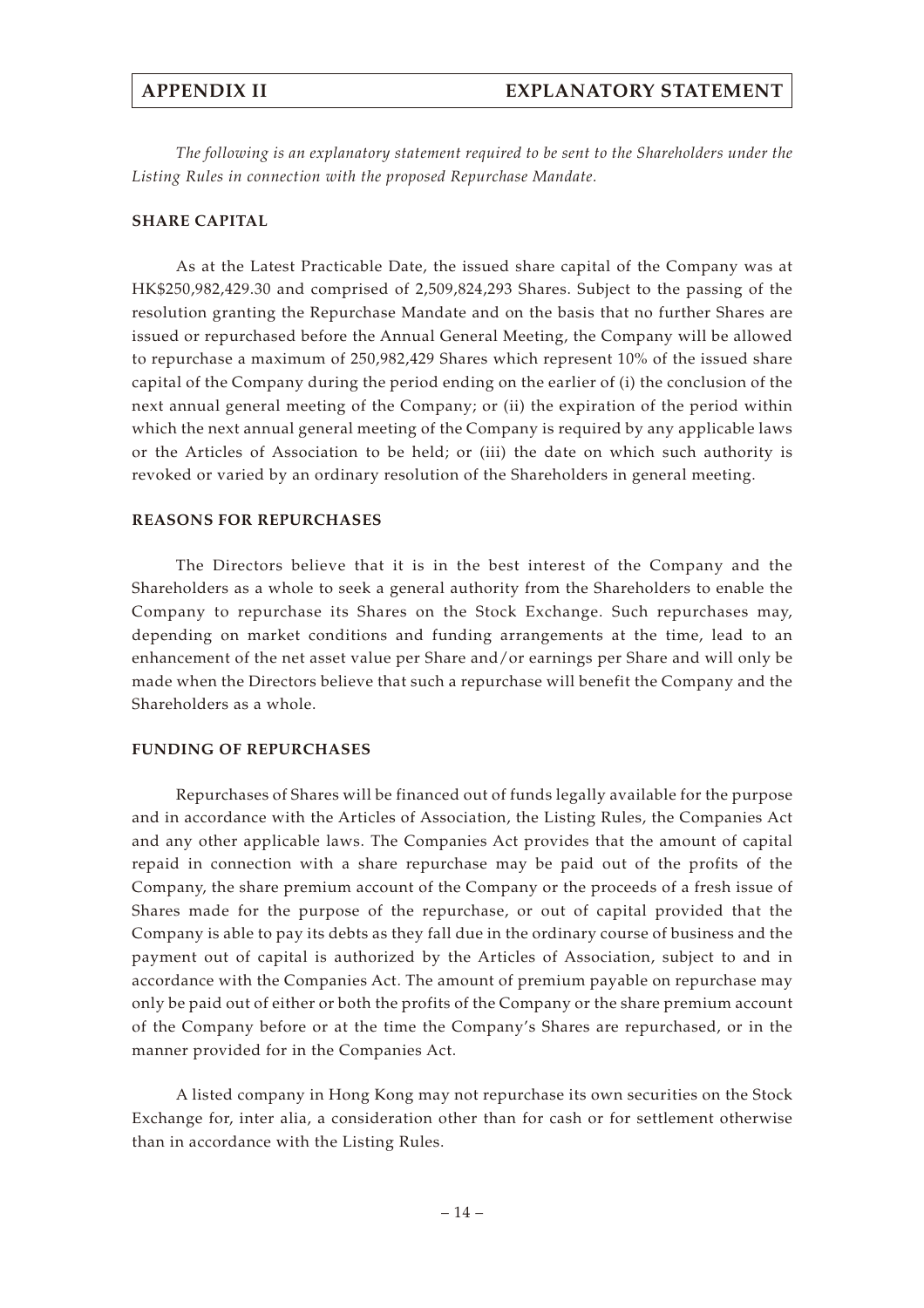*The following is an explanatory statement required to be sent to the Shareholders under the Listing Rules in connection with the proposed Repurchase Mandate.*

#### **SHARE CAPITAL**

As at the Latest Practicable Date, the issued share capital of the Company was at HK\$250,982,429.30 and comprised of 2,509,824,293 Shares. Subject to the passing of the resolution granting the Repurchase Mandate and on the basis that no further Shares are issued or repurchased before the Annual General Meeting, the Company will be allowed to repurchase a maximum of 250,982,429 Shares which represent 10% of the issued share capital of the Company during the period ending on the earlier of (i) the conclusion of the next annual general meeting of the Company; or (ii) the expiration of the period within which the next annual general meeting of the Company is required by any applicable laws or the Articles of Association to be held; or (iii) the date on which such authority is revoked or varied by an ordinary resolution of the Shareholders in general meeting.

### **REASONS FOR REPURCHASES**

The Directors believe that it is in the best interest of the Company and the Shareholders as a whole to seek a general authority from the Shareholders to enable the Company to repurchase its Shares on the Stock Exchange. Such repurchases may, depending on market conditions and funding arrangements at the time, lead to an enhancement of the net asset value per Share and/or earnings per Share and will only be made when the Directors believe that such a repurchase will benefit the Company and the Shareholders as a whole.

#### **FUNDING OF REPURCHASES**

Repurchases of Shares will be financed out of funds legally available for the purpose and in accordance with the Articles of Association, the Listing Rules, the Companies Act and any other applicable laws. The Companies Act provides that the amount of capital repaid in connection with a share repurchase may be paid out of the profits of the Company, the share premium account of the Company or the proceeds of a fresh issue of Shares made for the purpose of the repurchase, or out of capital provided that the Company is able to pay its debts as they fall due in the ordinary course of business and the payment out of capital is authorized by the Articles of Association, subject to and in accordance with the Companies Act. The amount of premium payable on repurchase may only be paid out of either or both the profits of the Company or the share premium account of the Company before or at the time the Company's Shares are repurchased, or in the manner provided for in the Companies Act.

A listed company in Hong Kong may not repurchase its own securities on the Stock Exchange for, inter alia, a consideration other than for cash or for settlement otherwise than in accordance with the Listing Rules.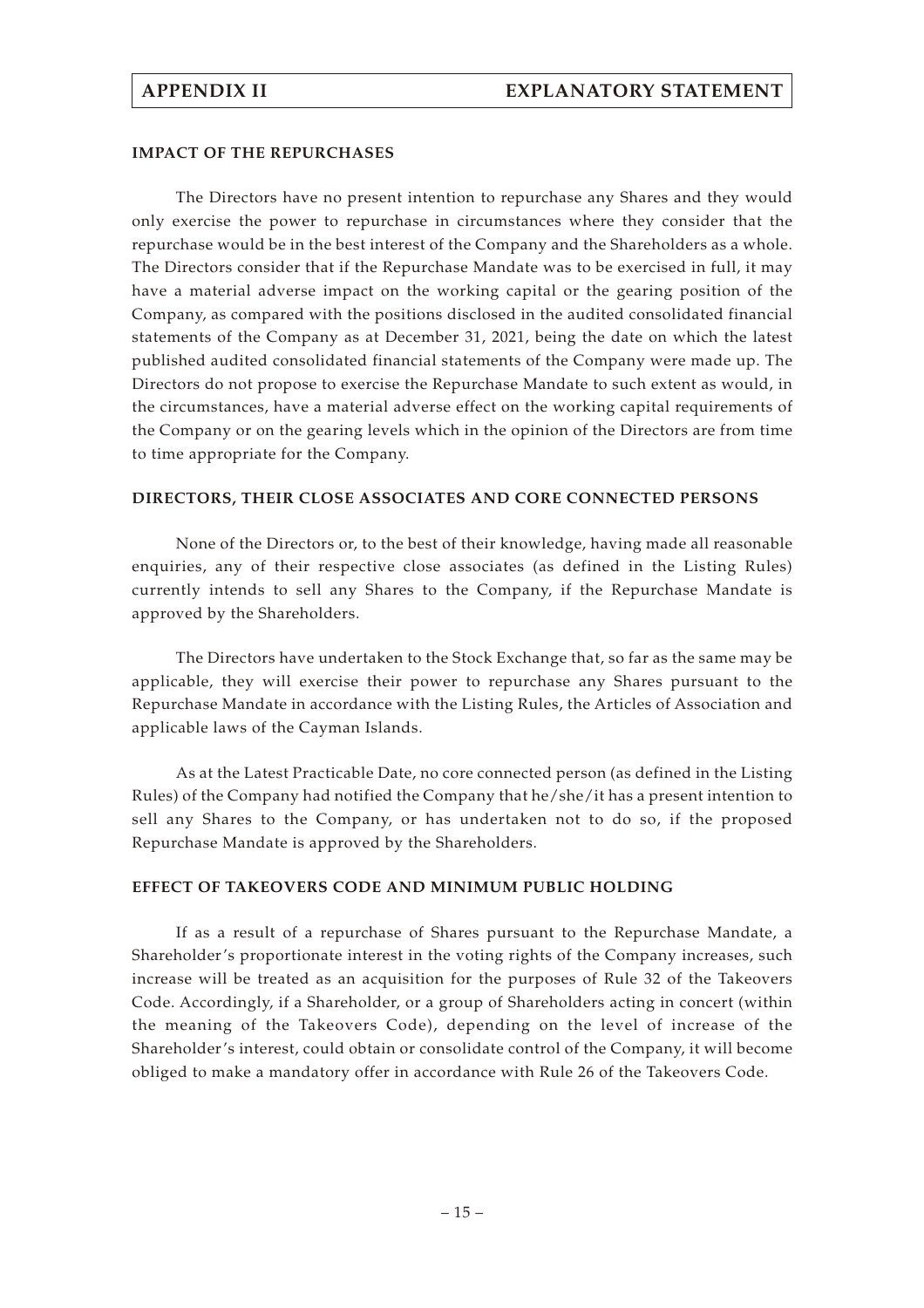#### **IMPACT OF THE REPURCHASES**

The Directors have no present intention to repurchase any Shares and they would only exercise the power to repurchase in circumstances where they consider that the repurchase would be in the best interest of the Company and the Shareholders as a whole. The Directors consider that if the Repurchase Mandate was to be exercised in full, it may have a material adverse impact on the working capital or the gearing position of the Company, as compared with the positions disclosed in the audited consolidated financial statements of the Company as at December 31, 2021, being the date on which the latest published audited consolidated financial statements of the Company were made up. The Directors do not propose to exercise the Repurchase Mandate to such extent as would, in the circumstances, have a material adverse effect on the working capital requirements of the Company or on the gearing levels which in the opinion of the Directors are from time to time appropriate for the Company.

#### **DIRECTORS, THEIR CLOSE ASSOCIATES AND CORE CONNECTED PERSONS**

None of the Directors or, to the best of their knowledge, having made all reasonable enquiries, any of their respective close associates (as defined in the Listing Rules) currently intends to sell any Shares to the Company, if the Repurchase Mandate is approved by the Shareholders.

The Directors have undertaken to the Stock Exchange that, so far as the same may be applicable, they will exercise their power to repurchase any Shares pursuant to the Repurchase Mandate in accordance with the Listing Rules, the Articles of Association and applicable laws of the Cayman Islands.

As at the Latest Practicable Date, no core connected person (as defined in the Listing Rules) of the Company had notified the Company that he/she/it has a present intention to sell any Shares to the Company, or has undertaken not to do so, if the proposed Repurchase Mandate is approved by the Shareholders.

#### **EFFECT OF TAKEOVERS CODE AND MINIMUM PUBLIC HOLDING**

If as a result of a repurchase of Shares pursuant to the Repurchase Mandate, a Shareholder's proportionate interest in the voting rights of the Company increases, such increase will be treated as an acquisition for the purposes of Rule 32 of the Takeovers Code. Accordingly, if a Shareholder, or a group of Shareholders acting in concert (within the meaning of the Takeovers Code), depending on the level of increase of the Shareholder's interest, could obtain or consolidate control of the Company, it will become obliged to make a mandatory offer in accordance with Rule 26 of the Takeovers Code.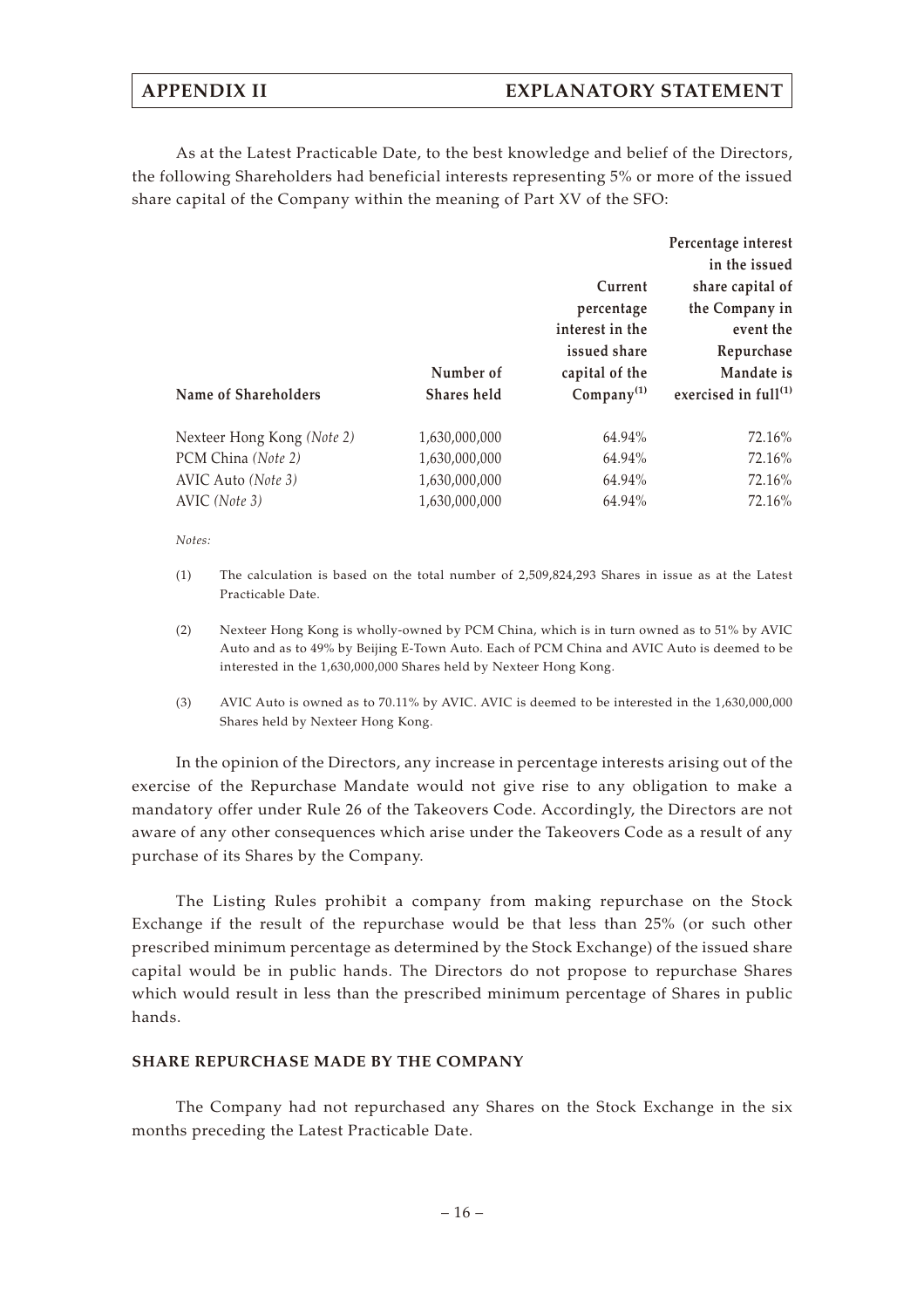As at the Latest Practicable Date, to the best knowledge and belief of the Directors, the following Shareholders had beneficial interests representing 5% or more of the issued share capital of the Company within the meaning of Part XV of the SFO:

|               |                        | Percentage interest              |
|---------------|------------------------|----------------------------------|
|               |                        | in the issued                    |
|               | Current                | share capital of                 |
|               | percentage             | the Company in                   |
|               | interest in the        | event the                        |
|               | issued share           | Repurchase                       |
| Number of     | capital of the         | Mandate is                       |
| Shares held   | Company <sup>(1)</sup> | exercised in full <sup>(1)</sup> |
| 1,630,000,000 | 64.94%                 | 72.16%                           |
| 1,630,000,000 | 64.94%                 | 72.16%                           |
| 1,630,000,000 | 64.94%                 | 72.16%                           |
| 1,630,000,000 | 64.94%                 | 72.16%                           |
|               |                        |                                  |

*Notes:*

- (1) The calculation is based on the total number of 2,509,824,293 Shares in issue as at the Latest Practicable Date.
- (2) Nexteer Hong Kong is wholly-owned by PCM China, which is in turn owned as to 51% by AVIC Auto and as to 49% by Beijing E-Town Auto. Each of PCM China and AVIC Auto is deemed to be interested in the 1,630,000,000 Shares held by Nexteer Hong Kong.
- (3) AVIC Auto is owned as to 70.11% by AVIC. AVIC is deemed to be interested in the 1,630,000,000 Shares held by Nexteer Hong Kong.

In the opinion of the Directors, any increase in percentage interests arising out of the exercise of the Repurchase Mandate would not give rise to any obligation to make a mandatory offer under Rule 26 of the Takeovers Code. Accordingly, the Directors are not aware of any other consequences which arise under the Takeovers Code as a result of any purchase of its Shares by the Company.

The Listing Rules prohibit a company from making repurchase on the Stock Exchange if the result of the repurchase would be that less than 25% (or such other prescribed minimum percentage as determined by the Stock Exchange) of the issued share capital would be in public hands. The Directors do not propose to repurchase Shares which would result in less than the prescribed minimum percentage of Shares in public hands.

#### **SHARE REPURCHASE MADE BY THE COMPANY**

The Company had not repurchased any Shares on the Stock Exchange in the six months preceding the Latest Practicable Date.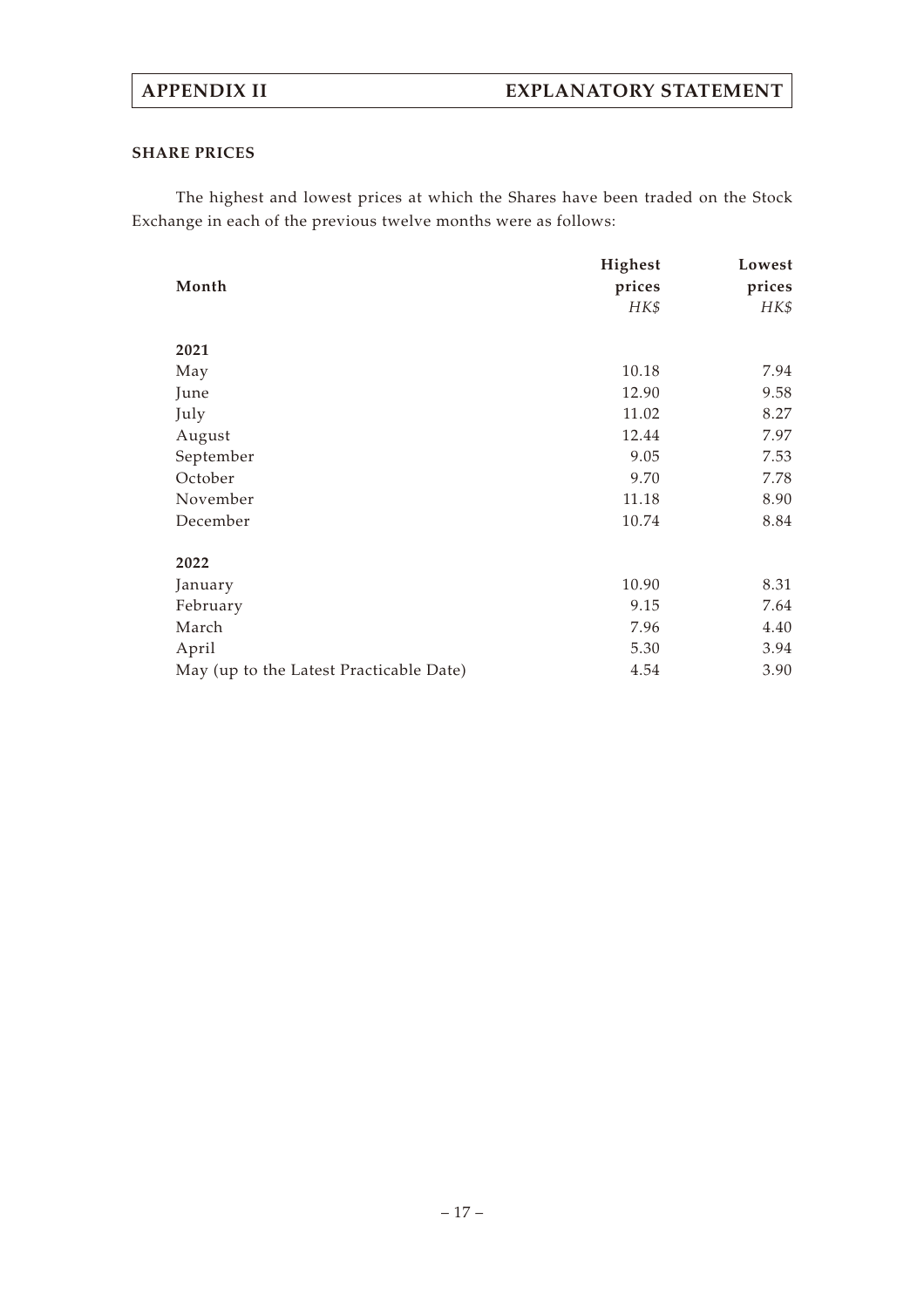## **SHARE PRICES**

The highest and lowest prices at which the Shares have been traded on the Stock Exchange in each of the previous twelve months were as follows:

|                                         | Highest | Lowest |
|-----------------------------------------|---------|--------|
| Month                                   | prices  | prices |
|                                         | HK\$    | HK\$   |
| 2021                                    |         |        |
| May                                     | 10.18   | 7.94   |
| June                                    | 12.90   | 9.58   |
| July                                    | 11.02   | 8.27   |
| August                                  | 12.44   | 7.97   |
| September                               | 9.05    | 7.53   |
| October                                 | 9.70    | 7.78   |
| November                                | 11.18   | 8.90   |
| December                                | 10.74   | 8.84   |
| 2022                                    |         |        |
| January                                 | 10.90   | 8.31   |
| February                                | 9.15    | 7.64   |
| March                                   | 7.96    | 4.40   |
| April                                   | 5.30    | 3.94   |
| May (up to the Latest Practicable Date) | 4.54    | 3.90   |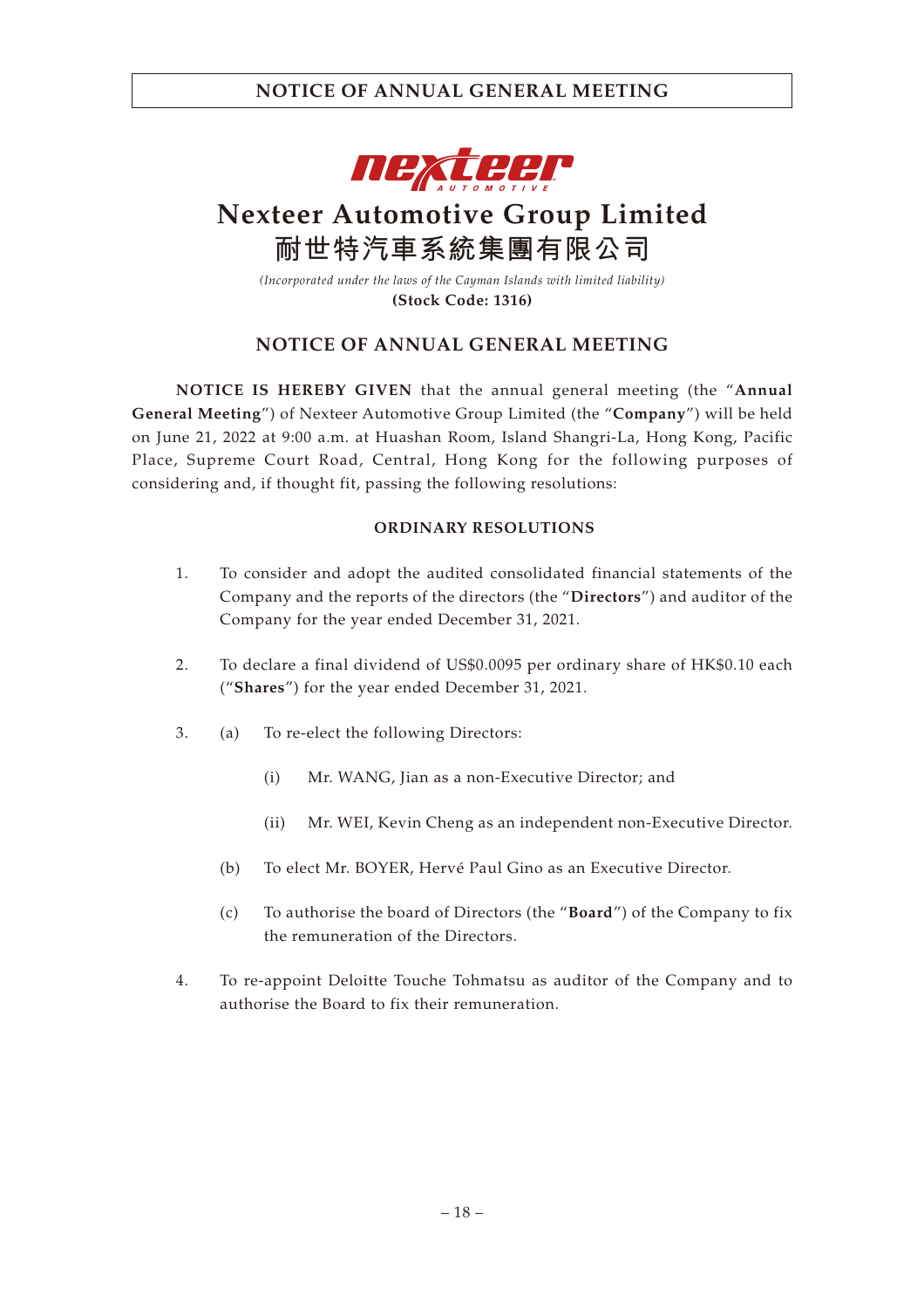

# **Nexteer Automotive Group Limited 耐世特汽車系統集團有限公司**

*(Incorporated under the laws of the Cayman Islands with limited liability)* **(Stock Code: 1316)**

## **NOTICE OF ANNUAL GENERAL MEETING**

**NOTICE IS HEREBY GIVEN** that the annual general meeting (the "**Annual General Meeting**") of Nexteer Automotive Group Limited (the "**Company**") will be held on June 21, 2022 at 9:00 a.m. at Huashan Room, Island Shangri-La, Hong Kong, Pacific Place, Supreme Court Road, Central, Hong Kong for the following purposes of considering and, if thought fit, passing the following resolutions:

### **ORDINARY RESOLUTIONS**

- 1. To consider and adopt the audited consolidated financial statements of the Company and the reports of the directors (the "**Directors**") and auditor of the Company for the year ended December 31, 2021.
- 2. To declare a final dividend of US\$0.0095 per ordinary share of HK\$0.10 each ("**Shares**") for the year ended December 31, 2021.
- 3. (a) To re-elect the following Directors:
	- (i) Mr. WANG, Jian as a non-Executive Director; and
	- (ii) Mr. WEI, Kevin Cheng as an independent non-Executive Director.
	- (b) To elect Mr. BOYER, Hervé Paul Gino as an Executive Director.
	- (c) To authorise the board of Directors (the "**Board**") of the Company to fix the remuneration of the Directors.
- 4. To re-appoint Deloitte Touche Tohmatsu as auditor of the Company and to authorise the Board to fix their remuneration.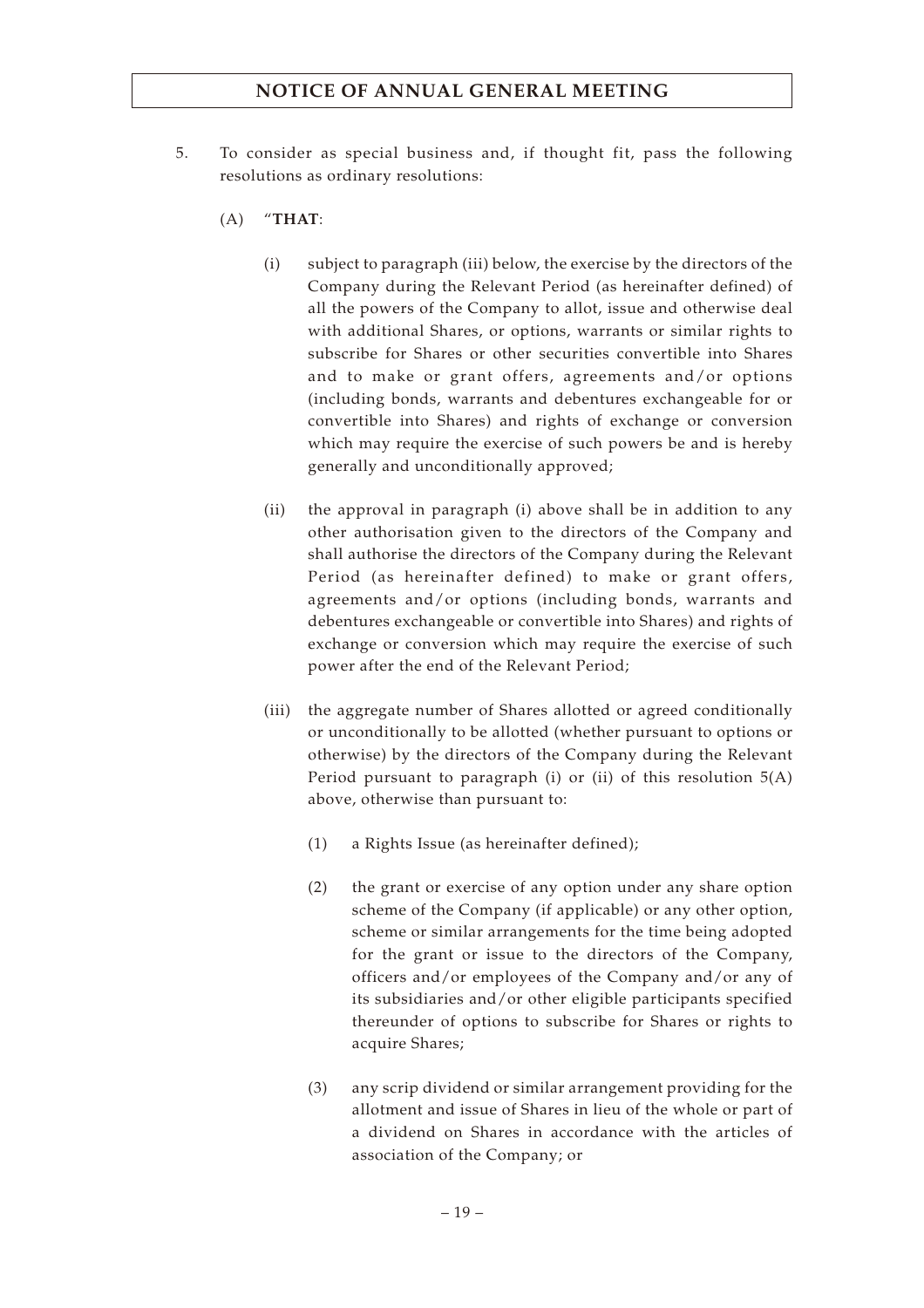- 5. To consider as special business and, if thought fit, pass the following resolutions as ordinary resolutions:
	- (A) "**THAT**:
		- (i) subject to paragraph (iii) below, the exercise by the directors of the Company during the Relevant Period (as hereinafter defined) of all the powers of the Company to allot, issue and otherwise deal with additional Shares, or options, warrants or similar rights to subscribe for Shares or other securities convertible into Shares and to make or grant offers, agreements and/or options (including bonds, warrants and debentures exchangeable for or convertible into Shares) and rights of exchange or conversion which may require the exercise of such powers be and is hereby generally and unconditionally approved;
		- (ii) the approval in paragraph (i) above shall be in addition to any other authorisation given to the directors of the Company and shall authorise the directors of the Company during the Relevant Period (as hereinafter defined) to make or grant offers, agreements and/or options (including bonds, warrants and debentures exchangeable or convertible into Shares) and rights of exchange or conversion which may require the exercise of such power after the end of the Relevant Period;
		- (iii) the aggregate number of Shares allotted or agreed conditionally or unconditionally to be allotted (whether pursuant to options or otherwise) by the directors of the Company during the Relevant Period pursuant to paragraph (i) or (ii) of this resolution 5(A) above, otherwise than pursuant to:
			- (1) a Rights Issue (as hereinafter defined);
			- (2) the grant or exercise of any option under any share option scheme of the Company (if applicable) or any other option, scheme or similar arrangements for the time being adopted for the grant or issue to the directors of the Company, officers and/or employees of the Company and/or any of its subsidiaries and/or other eligible participants specified thereunder of options to subscribe for Shares or rights to acquire Shares;
			- (3) any scrip dividend or similar arrangement providing for the allotment and issue of Shares in lieu of the whole or part of a dividend on Shares in accordance with the articles of association of the Company; or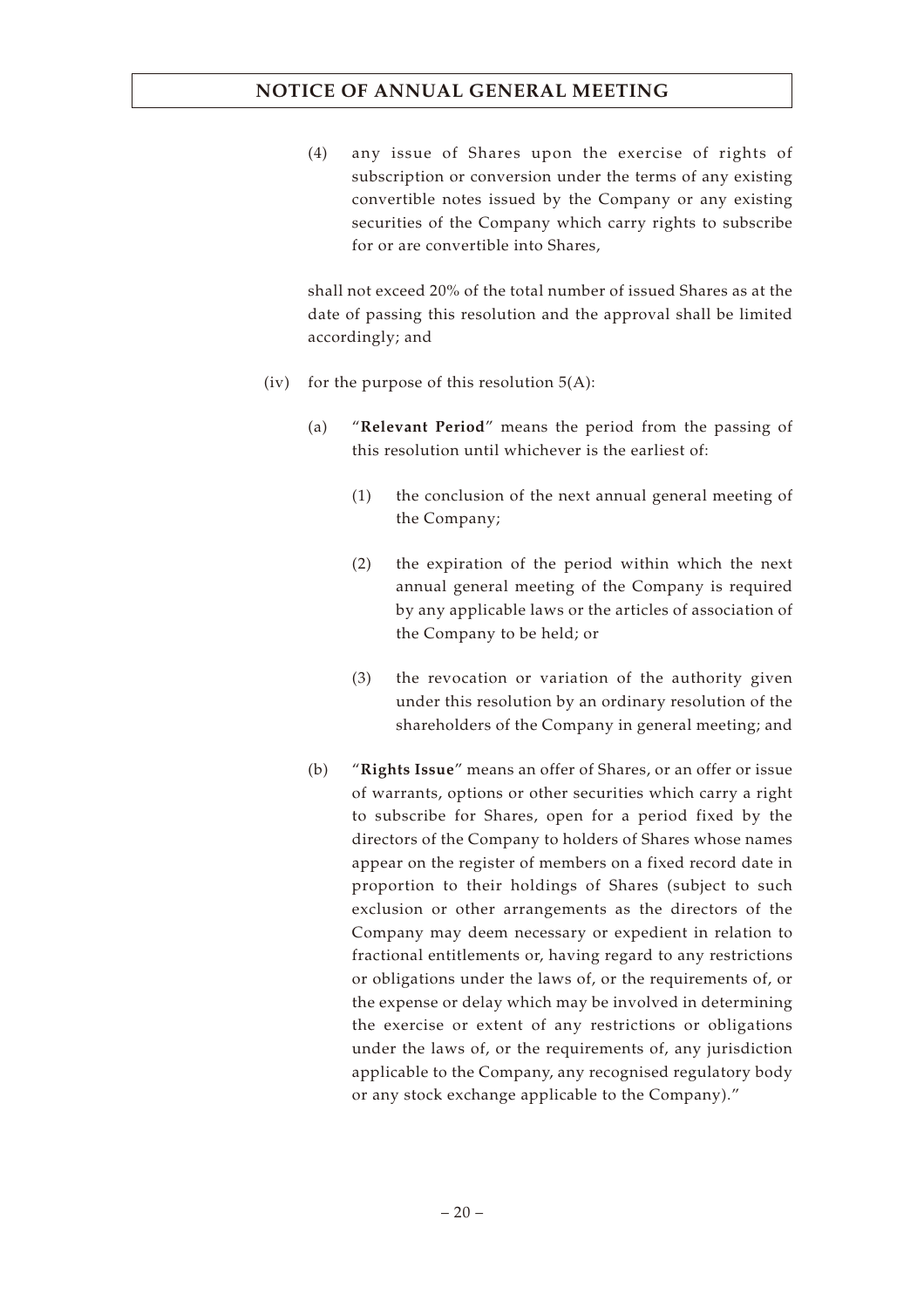(4) any issue of Shares upon the exercise of rights of subscription or conversion under the terms of any existing convertible notes issued by the Company or any existing securities of the Company which carry rights to subscribe for or are convertible into Shares,

shall not exceed 20% of the total number of issued Shares as at the date of passing this resolution and the approval shall be limited accordingly; and

- (iv) for the purpose of this resolution  $5(A)$ :
	- (a) "**Relevant Period**" means the period from the passing of this resolution until whichever is the earliest of:
		- (1) the conclusion of the next annual general meeting of the Company;
		- (2) the expiration of the period within which the next annual general meeting of the Company is required by any applicable laws or the articles of association of the Company to be held; or
		- (3) the revocation or variation of the authority given under this resolution by an ordinary resolution of the shareholders of the Company in general meeting; and
	- (b) "**Rights Issue**" means an offer of Shares, or an offer or issue of warrants, options or other securities which carry a right to subscribe for Shares, open for a period fixed by the directors of the Company to holders of Shares whose names appear on the register of members on a fixed record date in proportion to their holdings of Shares (subject to such exclusion or other arrangements as the directors of the Company may deem necessary or expedient in relation to fractional entitlements or, having regard to any restrictions or obligations under the laws of, or the requirements of, or the expense or delay which may be involved in determining the exercise or extent of any restrictions or obligations under the laws of, or the requirements of, any jurisdiction applicable to the Company, any recognised regulatory body or any stock exchange applicable to the Company)."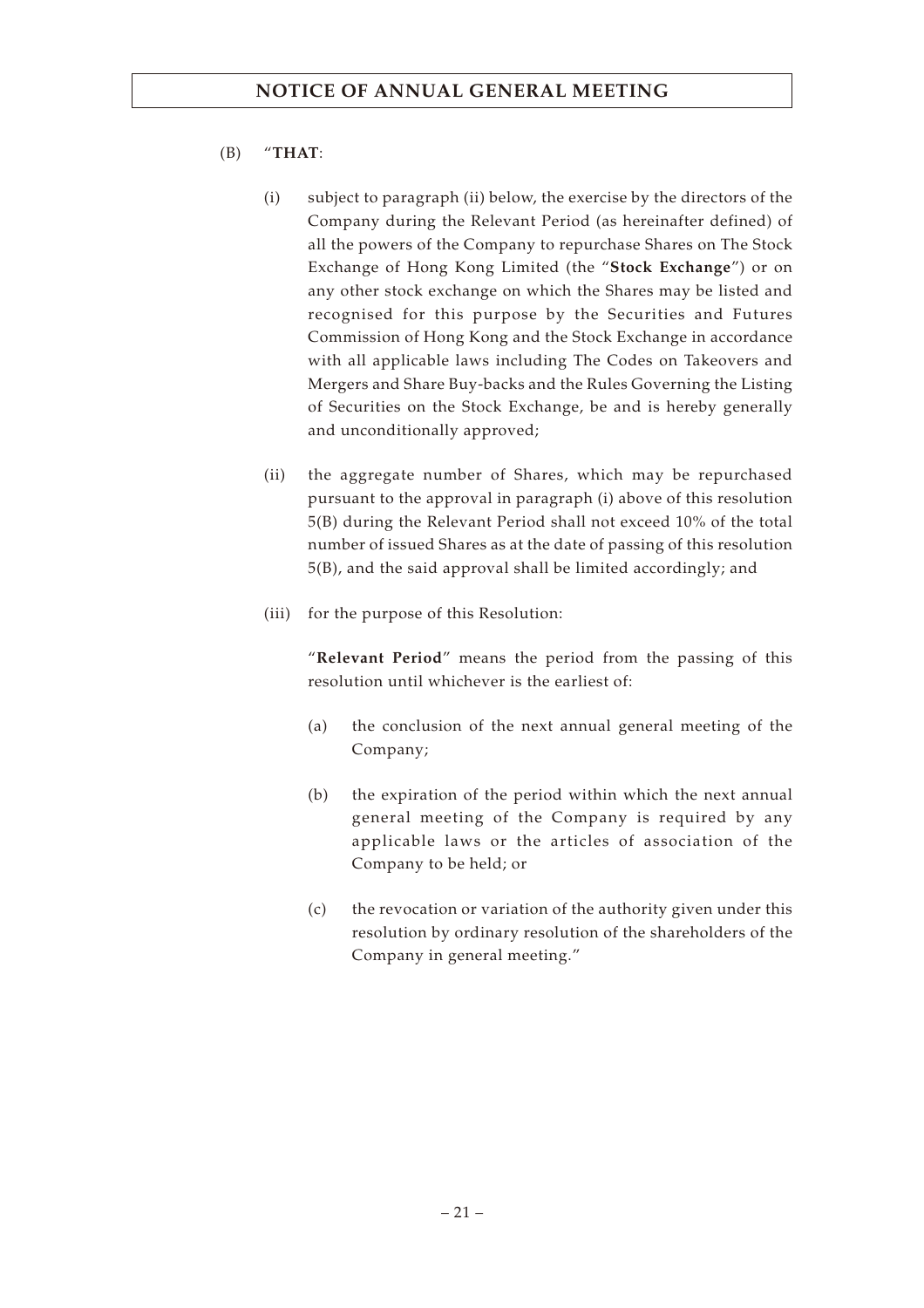## (B) "**THAT**:

- (i) subject to paragraph (ii) below, the exercise by the directors of the Company during the Relevant Period (as hereinafter defined) of all the powers of the Company to repurchase Shares on The Stock Exchange of Hong Kong Limited (the "**Stock Exchange**") or on any other stock exchange on which the Shares may be listed and recognised for this purpose by the Securities and Futures Commission of Hong Kong and the Stock Exchange in accordance with all applicable laws including The Codes on Takeovers and Mergers and Share Buy-backs and the Rules Governing the Listing of Securities on the Stock Exchange, be and is hereby generally and unconditionally approved;
- (ii) the aggregate number of Shares, which may be repurchased pursuant to the approval in paragraph (i) above of this resolution 5(B) during the Relevant Period shall not exceed 10% of the total number of issued Shares as at the date of passing of this resolution 5(B), and the said approval shall be limited accordingly; and
- (iii) for the purpose of this Resolution:

"**Relevant Period**" means the period from the passing of this resolution until whichever is the earliest of:

- (a) the conclusion of the next annual general meeting of the Company;
- (b) the expiration of the period within which the next annual general meeting of the Company is required by any applicable laws or the articles of association of the Company to be held; or
- (c) the revocation or variation of the authority given under this resolution by ordinary resolution of the shareholders of the Company in general meeting."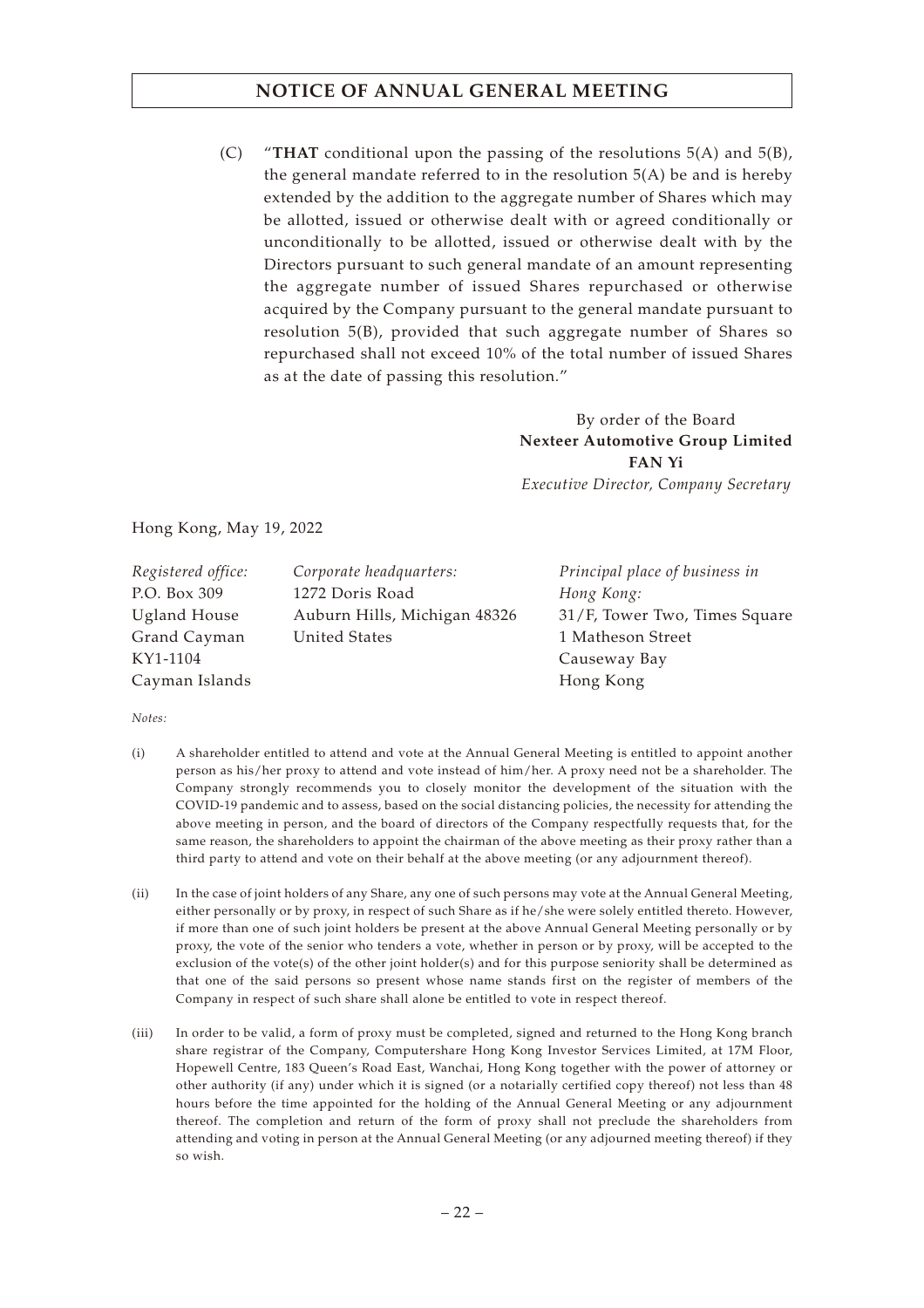(C) "**THAT** conditional upon the passing of the resolutions 5(A) and 5(B), the general mandate referred to in the resolution  $5(A)$  be and is hereby extended by the addition to the aggregate number of Shares which may be allotted, issued or otherwise dealt with or agreed conditionally or unconditionally to be allotted, issued or otherwise dealt with by the Directors pursuant to such general mandate of an amount representing the aggregate number of issued Shares repurchased or otherwise acquired by the Company pursuant to the general mandate pursuant to resolution 5(B), provided that such aggregate number of Shares so repurchased shall not exceed 10% of the total number of issued Shares as at the date of passing this resolution."

> By order of the Board **Nexteer Automotive Group Limited FAN Yi** *Executive Director, Company Secretary*

Hong Kong, May 19, 2022

| Registered office: | Corporate headquarters:      | Principal place of business in |
|--------------------|------------------------------|--------------------------------|
| P.O. Box 309       | 1272 Doris Road              | Hong Kong:                     |
| Ugland House       | Auburn Hills, Michigan 48326 | 31/F, Tower Two, Times Square  |
| Grand Cayman       | United States                | 1 Matheson Street              |
| KY1-1104           |                              | Causeway Bay                   |
| Cayman Islands     |                              | Hong Kong                      |

*Notes:*

- (i) A shareholder entitled to attend and vote at the Annual General Meeting is entitled to appoint another person as his/her proxy to attend and vote instead of him/her. A proxy need not be a shareholder. The Company strongly recommends you to closely monitor the development of the situation with the COVID-19 pandemic and to assess, based on the social distancing policies, the necessity for attending the above meeting in person, and the board of directors of the Company respectfully requests that, for the same reason, the shareholders to appoint the chairman of the above meeting as their proxy rather than a third party to attend and vote on their behalf at the above meeting (or any adjournment thereof).
- (ii) In the case of joint holders of any Share, any one of such persons may vote at the Annual General Meeting, either personally or by proxy, in respect of such Share as if he/she were solely entitled thereto. However, if more than one of such joint holders be present at the above Annual General Meeting personally or by proxy, the vote of the senior who tenders a vote, whether in person or by proxy, will be accepted to the exclusion of the vote(s) of the other joint holder(s) and for this purpose seniority shall be determined as that one of the said persons so present whose name stands first on the register of members of the Company in respect of such share shall alone be entitled to vote in respect thereof.
- (iii) In order to be valid, a form of proxy must be completed, signed and returned to the Hong Kong branch share registrar of the Company, Computershare Hong Kong Investor Services Limited, at 17M Floor, Hopewell Centre, 183 Queen's Road East, Wanchai, Hong Kong together with the power of attorney or other authority (if any) under which it is signed (or a notarially certified copy thereof) not less than 48 hours before the time appointed for the holding of the Annual General Meeting or any adjournment thereof. The completion and return of the form of proxy shall not preclude the shareholders from attending and voting in person at the Annual General Meeting (or any adjourned meeting thereof) if they so wish.